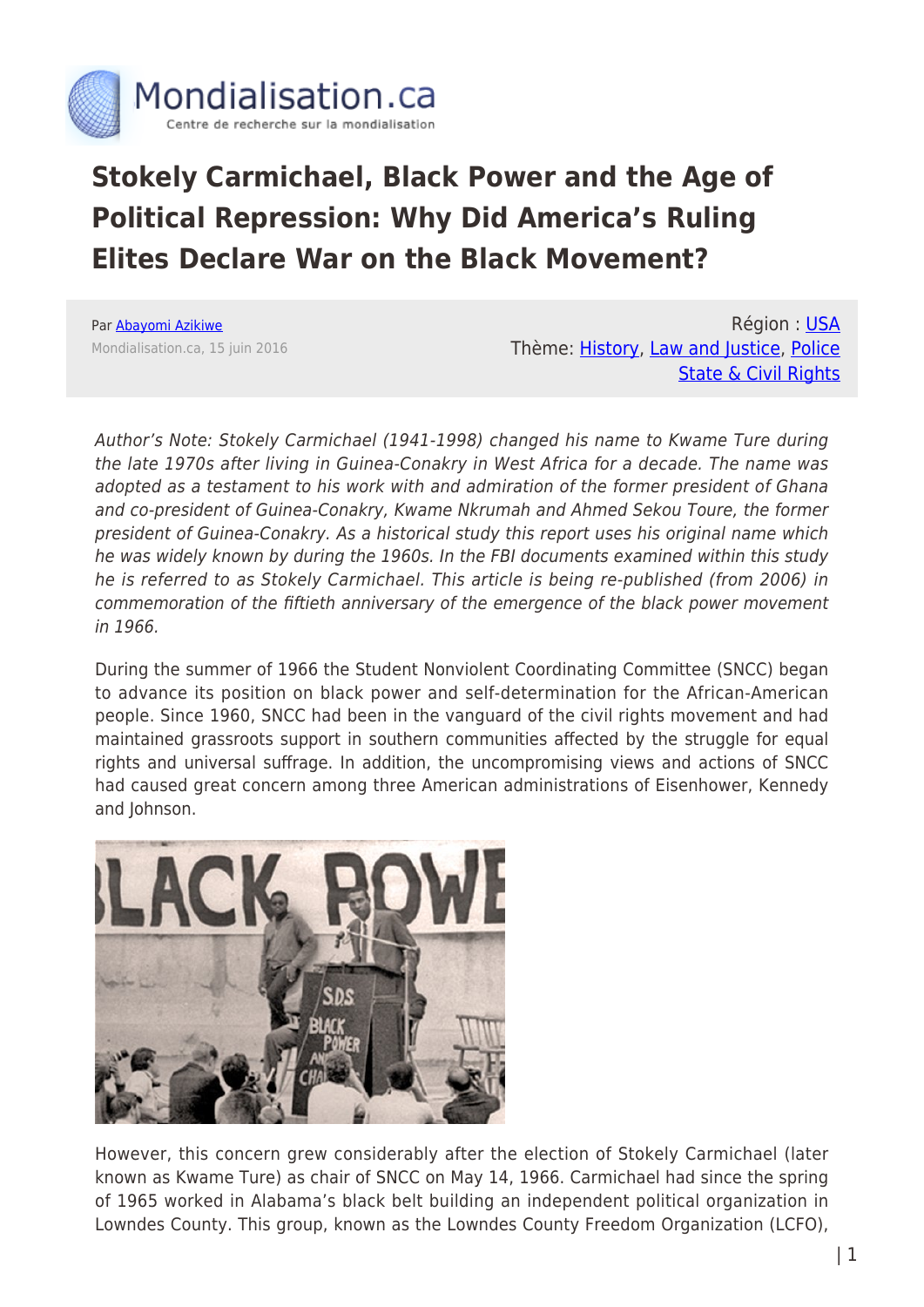

## **Stokely Carmichael, Black Power and the Age of Political Repression: Why Did America's Ruling Elites Declare War on the Black Movement?**

Par [Abayomi Azikiwe](https://www.mondialisation.ca/author/abayomi-azikiwe) Mondialisation.ca, 15 juin 2016

Région : [USA](https://www.mondialisation.ca/region/usa) Thème: [History,](https://www.mondialisation.ca/theme/culture-society-history) [Law and Justice,](https://www.mondialisation.ca/theme/law-and-justice) [Police](https://www.mondialisation.ca/theme/police-state-civil-rights) [State & Civil Rights](https://www.mondialisation.ca/theme/police-state-civil-rights)

Author's Note: Stokely Carmichael (1941-1998) changed his name to Kwame Ture during the late 1970s after living in Guinea-Conakry in West Africa for a decade. The name was adopted as a testament to his work with and admiration of the former president of Ghana and co-president of Guinea-Conakry, Kwame Nkrumah and Ahmed Sekou Toure, the former president of Guinea-Conakry. As a historical study this report uses his original name which he was widely known by during the 1960s. In the FBI documents examined within this study he is referred to as Stokely Carmichael. This article is being re-published (from 2006) in commemoration of the fiftieth anniversary of the emergence of the black power movement in 1966.

During the summer of 1966 the Student Nonviolent Coordinating Committee (SNCC) began to advance its position on black power and self-determination for the African-American people. Since 1960, SNCC had been in the vanguard of the civil rights movement and had maintained grassroots support in southern communities affected by the struggle for equal rights and universal suffrage. In addition, the uncompromising views and actions of SNCC had caused great concern among three American administrations of Eisenhower, Kennedy and Johnson.



However, this concern grew considerably after the election of Stokely Carmichael (later known as Kwame Ture) as chair of SNCC on May 14, 1966. Carmichael had since the spring of 1965 worked in Alabama's black belt building an independent political organization in Lowndes County. This group, known as the Lowndes County Freedom Organization (LCFO),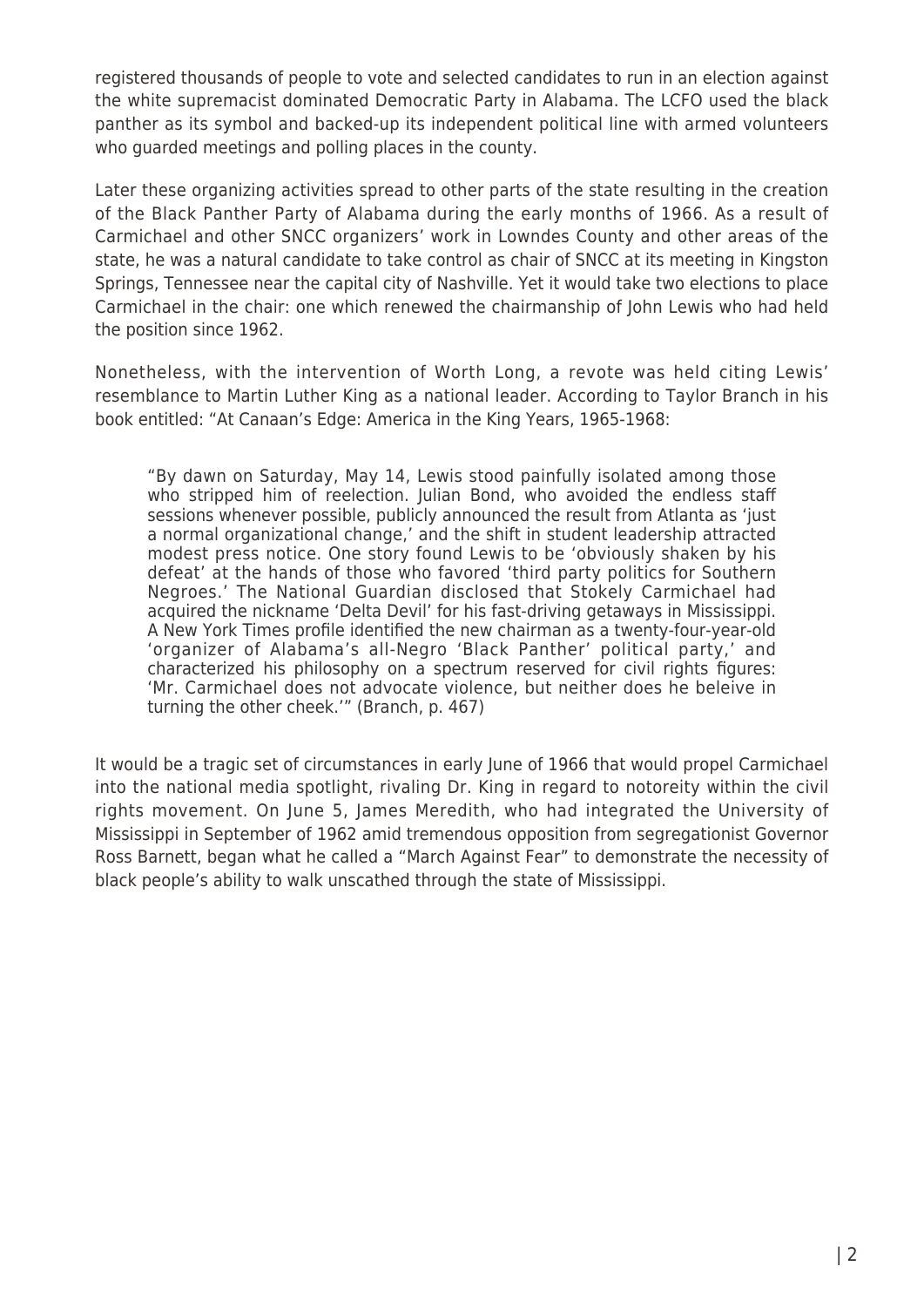registered thousands of people to vote and selected candidates to run in an election against the white supremacist dominated Democratic Party in Alabama. The LCFO used the black panther as its symbol and backed-up its independent political line with armed volunteers who guarded meetings and polling places in the county.

Later these organizing activities spread to other parts of the state resulting in the creation of the Black Panther Party of Alabama during the early months of 1966. As a result of Carmichael and other SNCC organizers' work in Lowndes County and other areas of the state, he was a natural candidate to take control as chair of SNCC at its meeting in Kingston Springs, Tennessee near the capital city of Nashville. Yet it would take two elections to place Carmichael in the chair: one which renewed the chairmanship of John Lewis who had held the position since 1962.

Nonetheless, with the intervention of Worth Long, a revote was held citing Lewis' resemblance to Martin Luther King as a national leader. According to Taylor Branch in his book entitled: "At Canaan's Edge: America in the King Years, 1965-1968:

"By dawn on Saturday, May 14, Lewis stood painfully isolated among those who stripped him of reelection. Julian Bond, who avoided the endless staff sessions whenever possible, publicly announced the result from Atlanta as 'just a normal organizational change,' and the shift in student leadership attracted modest press notice. One story found Lewis to be 'obviously shaken by his defeat' at the hands of those who favored 'third party politics for Southern Negroes.' The National Guardian disclosed that Stokely Carmichael had acquired the nickname 'Delta Devil' for his fast-driving getaways in Mississippi. A New York Times profile identified the new chairman as a twenty-four-year-old 'organizer of Alabama's all-Negro 'Black Panther' political party,' and characterized his philosophy on a spectrum reserved for civil rights figures: 'Mr. Carmichael does not advocate violence, but neither does he beleive in turning the other cheek.'" (Branch, p. 467)

It would be a tragic set of circumstances in early June of 1966 that would propel Carmichael into the national media spotlight, rivaling Dr. King in regard to notoreity within the civil rights movement. On June 5, James Meredith, who had integrated the University of Mississippi in September of 1962 amid tremendous opposition from segregationist Governor Ross Barnett, began what he called a "March Against Fear" to demonstrate the necessity of black people's ability to walk unscathed through the state of Mississippi.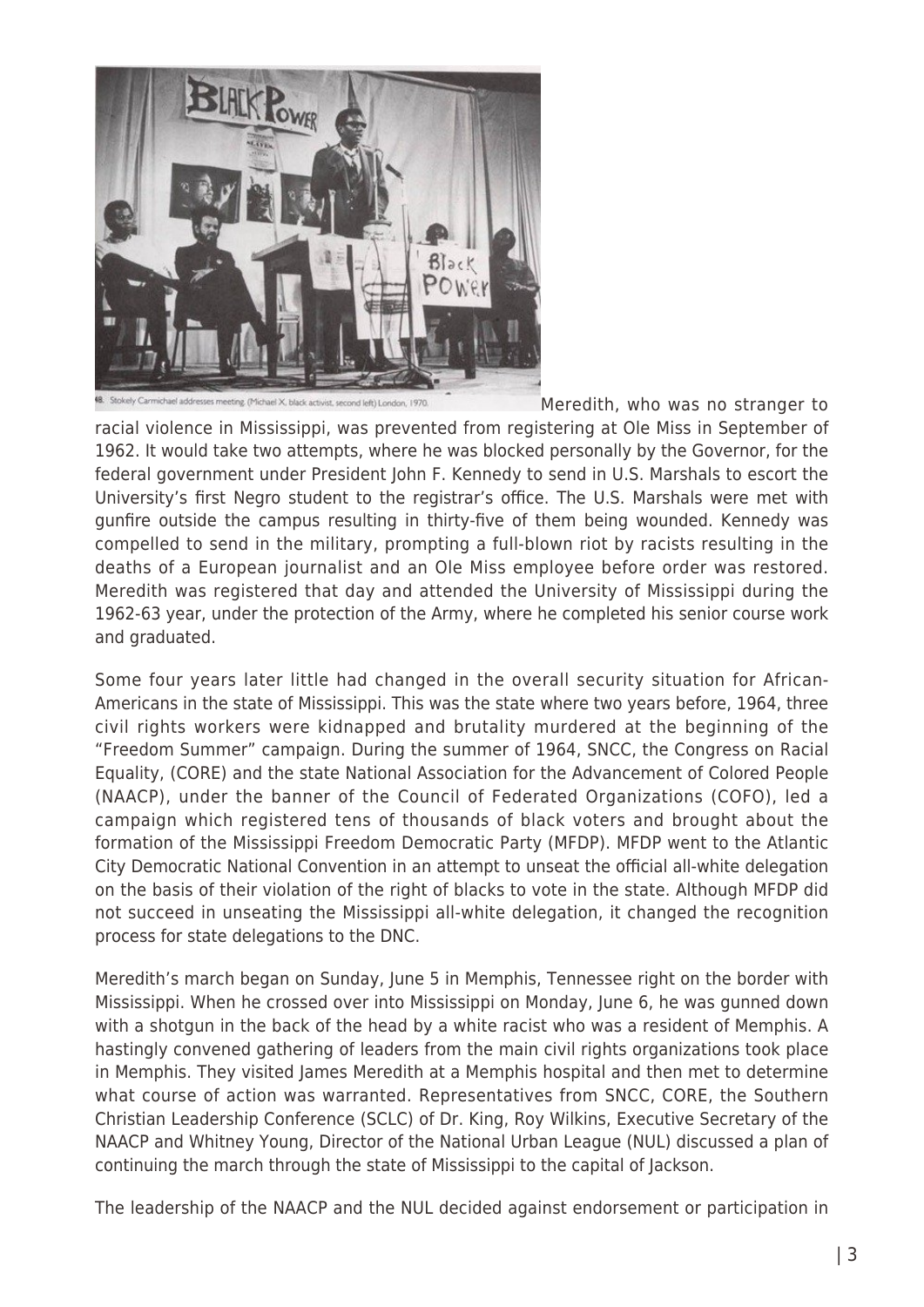

addresses meeting. (Michael X, black activist, second left) London, 1970.

[M](http://www.globalresearch.ca/wp-content/uploads/2016/06/8413.11561.jpg)eredith, who was no stranger to

racial violence in Mississippi, was prevented from registering at Ole Miss in September of 1962. It would take two attempts, where he was blocked personally by the Governor, for the federal government under President John F. Kennedy to send in U.S. Marshals to escort the University's first Negro student to the registrar's office. The U.S. Marshals were met with gunfire outside the campus resulting in thirty-five of them being wounded. Kennedy was compelled to send in the military, prompting a full-blown riot by racists resulting in the deaths of a European journalist and an Ole Miss employee before order was restored. Meredith was registered that day and attended the University of Mississippi during the 1962-63 year, under the protection of the Army, where he completed his senior course work and graduated.

Some four years later little had changed in the overall security situation for African-Americans in the state of Mississippi. This was the state where two years before, 1964, three civil rights workers were kidnapped and brutality murdered at the beginning of the "Freedom Summer" campaign. During the summer of 1964, SNCC, the Congress on Racial Equality, (CORE) and the state National Association for the Advancement of Colored People (NAACP), under the banner of the Council of Federated Organizations (COFO), led a campaign which registered tens of thousands of black voters and brought about the formation of the Mississippi Freedom Democratic Party (MFDP). MFDP went to the Atlantic City Democratic National Convention in an attempt to unseat the official all-white delegation on the basis of their violation of the right of blacks to vote in the state. Although MFDP did not succeed in unseating the Mississippi all-white delegation, it changed the recognition process for state delegations to the DNC.

Meredith's march began on Sunday, June 5 in Memphis, Tennessee right on the border with Mississippi. When he crossed over into Mississippi on Monday, June 6, he was gunned down with a shotgun in the back of the head by a white racist who was a resident of Memphis. A hastingly convened gathering of leaders from the main civil rights organizations took place in Memphis. They visited James Meredith at a Memphis hospital and then met to determine what course of action was warranted. Representatives from SNCC, CORE, the Southern Christian Leadership Conference (SCLC) of Dr. King, Roy Wilkins, Executive Secretary of the NAACP and Whitney Young, Director of the National Urban League (NUL) discussed a plan of continuing the march through the state of Mississippi to the capital of Jackson.

The leadership of the NAACP and the NUL decided against endorsement or participation in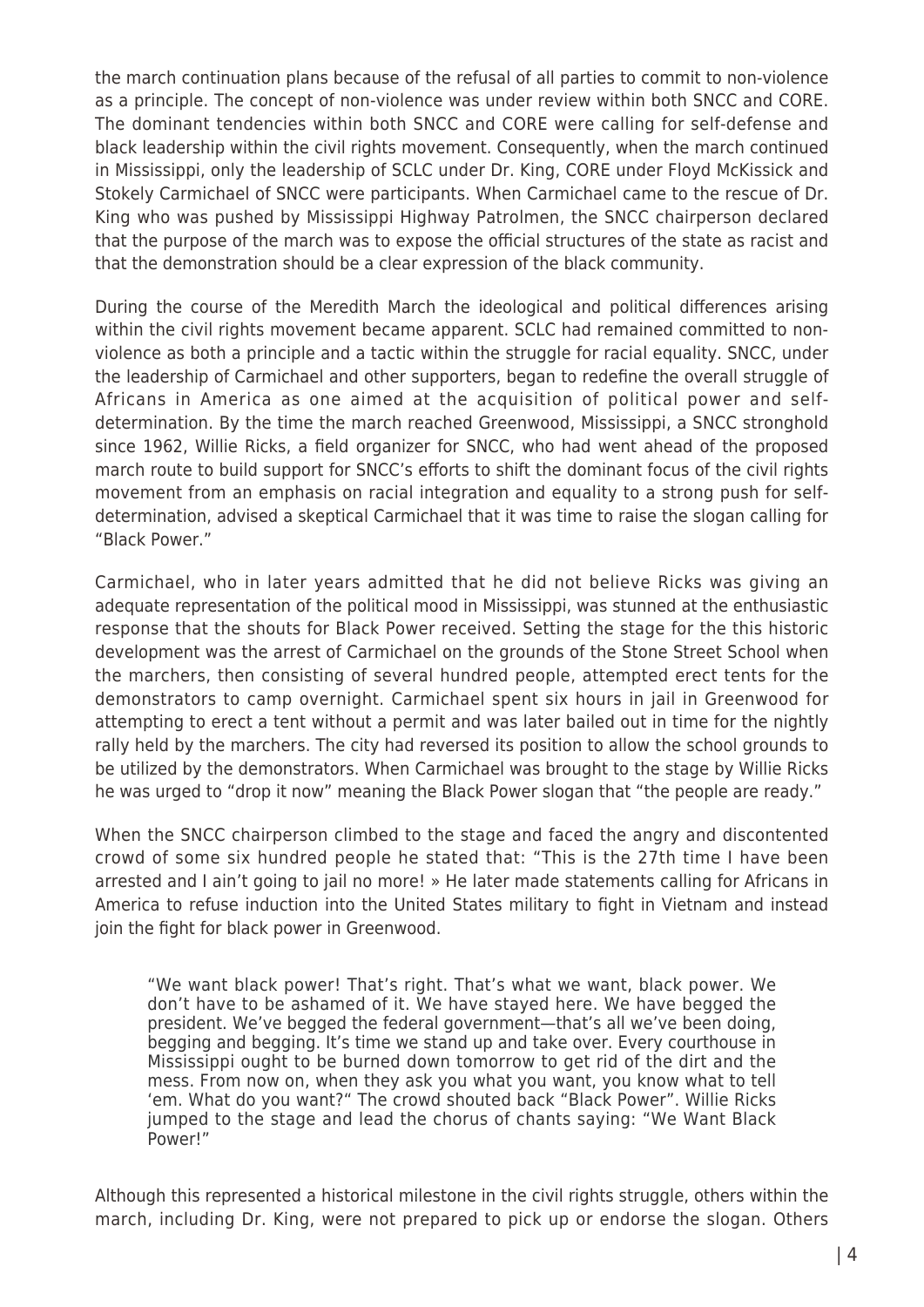the march continuation plans because of the refusal of all parties to commit to non-violence as a principle. The concept of non-violence was under review within both SNCC and CORE. The dominant tendencies within both SNCC and CORE were calling for self-defense and black leadership within the civil rights movement. Consequently, when the march continued in Mississippi, only the leadership of SCLC under Dr. King, CORE under Floyd McKissick and Stokely Carmichael of SNCC were participants. When Carmichael came to the rescue of Dr. King who was pushed by Mississippi Highway Patrolmen, the SNCC chairperson declared that the purpose of the march was to expose the official structures of the state as racist and that the demonstration should be a clear expression of the black community.

During the course of the Meredith March the ideological and political differences arising within the civil rights movement became apparent. SCLC had remained committed to nonviolence as both a principle and a tactic within the struggle for racial equality. SNCC, under the leadership of Carmichael and other supporters, began to redefine the overall struggle of Africans in America as one aimed at the acquisition of political power and selfdetermination. By the time the march reached Greenwood, Mississippi, a SNCC stronghold since 1962, Willie Ricks, a field organizer for SNCC, who had went ahead of the proposed march route to build support for SNCC's efforts to shift the dominant focus of the civil rights movement from an emphasis on racial integration and equality to a strong push for selfdetermination, advised a skeptical Carmichael that it was time to raise the slogan calling for "Black Power."

Carmichael, who in later years admitted that he did not believe Ricks was giving an adequate representation of the political mood in Mississippi, was stunned at the enthusiastic response that the shouts for Black Power received. Setting the stage for the this historic development was the arrest of Carmichael on the grounds of the Stone Street School when the marchers, then consisting of several hundred people, attempted erect tents for the demonstrators to camp overnight. Carmichael spent six hours in jail in Greenwood for attempting to erect a tent without a permit and was later bailed out in time for the nightly rally held by the marchers. The city had reversed its position to allow the school grounds to be utilized by the demonstrators. When Carmichael was brought to the stage by Willie Ricks he was urged to "drop it now" meaning the Black Power slogan that "the people are ready."

When the SNCC chairperson climbed to the stage and faced the angry and discontented crowd of some six hundred people he stated that: "This is the 27th time I have been arrested and I ain't going to jail no more! » He later made statements calling for Africans in America to refuse induction into the United States military to fight in Vietnam and instead join the fight for black power in Greenwood.

"We want black power! That's right. That's what we want, black power. We don't have to be ashamed of it. We have stayed here. We have begged the president. We've begged the federal government—that's all we've been doing, begging and begging. It's time we stand up and take over. Every courthouse in Mississippi ought to be burned down tomorrow to get rid of the dirt and the mess. From now on, when they ask you what you want, you know what to tell 'em. What do you want?" The crowd shouted back "Black Power". Willie Ricks jumped to the stage and lead the chorus of chants saying: "We Want Black Power!"

Although this represented a historical milestone in the civil rights struggle, others within the march, including Dr. King, were not prepared to pick up or endorse the slogan. Others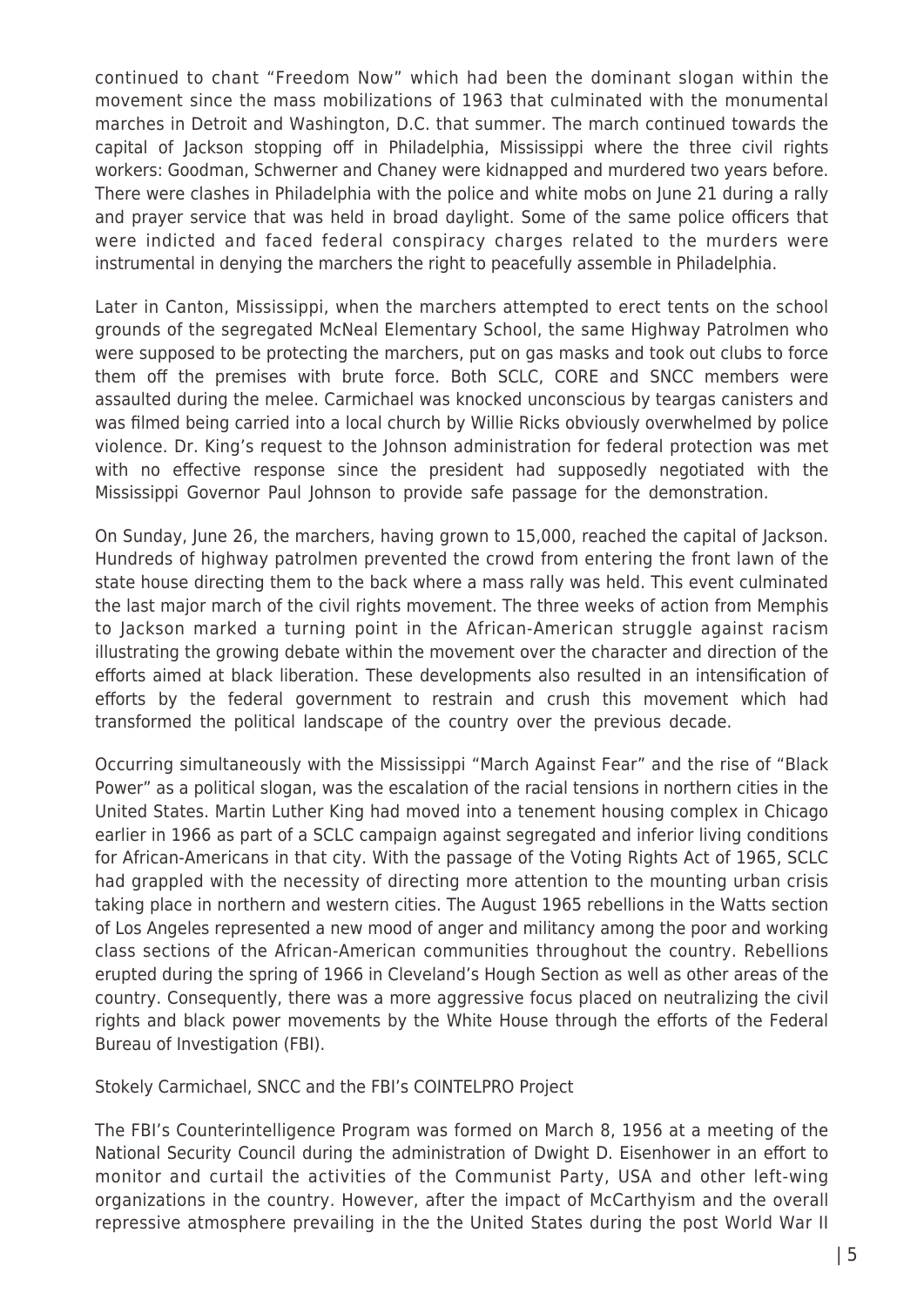continued to chant "Freedom Now" which had been the dominant slogan within the movement since the mass mobilizations of 1963 that culminated with the monumental marches in Detroit and Washington, D.C. that summer. The march continued towards the capital of Jackson stopping off in Philadelphia, Mississippi where the three civil rights workers: Goodman, Schwerner and Chaney were kidnapped and murdered two years before. There were clashes in Philadelphia with the police and white mobs on June 21 during a rally and prayer service that was held in broad daylight. Some of the same police officers that were indicted and faced federal conspiracy charges related to the murders were instrumental in denying the marchers the right to peacefully assemble in Philadelphia.

Later in Canton, Mississippi, when the marchers attempted to erect tents on the school grounds of the segregated McNeal Elementary School, the same Highway Patrolmen who were supposed to be protecting the marchers, put on gas masks and took out clubs to force them off the premises with brute force. Both SCLC, CORE and SNCC members were assaulted during the melee. Carmichael was knocked unconscious by teargas canisters and was filmed being carried into a local church by Willie Ricks obviously overwhelmed by police violence. Dr. King's request to the Johnson administration for federal protection was met with no effective response since the president had supposedly negotiated with the Mississippi Governor Paul Johnson to provide safe passage for the demonstration.

On Sunday, June 26, the marchers, having grown to 15,000, reached the capital of Jackson. Hundreds of highway patrolmen prevented the crowd from entering the front lawn of the state house directing them to the back where a mass rally was held. This event culminated the last major march of the civil rights movement. The three weeks of action from Memphis to Jackson marked a turning point in the African-American struggle against racism illustrating the growing debate within the movement over the character and direction of the efforts aimed at black liberation. These developments also resulted in an intensification of efforts by the federal government to restrain and crush this movement which had transformed the political landscape of the country over the previous decade.

Occurring simultaneously with the Mississippi "March Against Fear" and the rise of "Black Power" as a political slogan, was the escalation of the racial tensions in northern cities in the United States. Martin Luther King had moved into a tenement housing complex in Chicago earlier in 1966 as part of a SCLC campaign against segregated and inferior living conditions for African-Americans in that city. With the passage of the Voting Rights Act of 1965, SCLC had grappled with the necessity of directing more attention to the mounting urban crisis taking place in northern and western cities. The August 1965 rebellions in the Watts section of Los Angeles represented a new mood of anger and militancy among the poor and working class sections of the African-American communities throughout the country. Rebellions erupted during the spring of 1966 in Cleveland's Hough Section as well as other areas of the country. Consequently, there was a more aggressive focus placed on neutralizing the civil rights and black power movements by the White House through the efforts of the Federal Bureau of Investigation (FBI).

Stokely Carmichael, SNCC and the FBI's COINTELPRO Project

The FBI's Counterintelligence Program was formed on March 8, 1956 at a meeting of the National Security Council during the administration of Dwight D. Eisenhower in an effort to monitor and curtail the activities of the Communist Party, USA and other left-wing organizations in the country. However, after the impact of McCarthyism and the overall repressive atmosphere prevailing in the the United States during the post World War II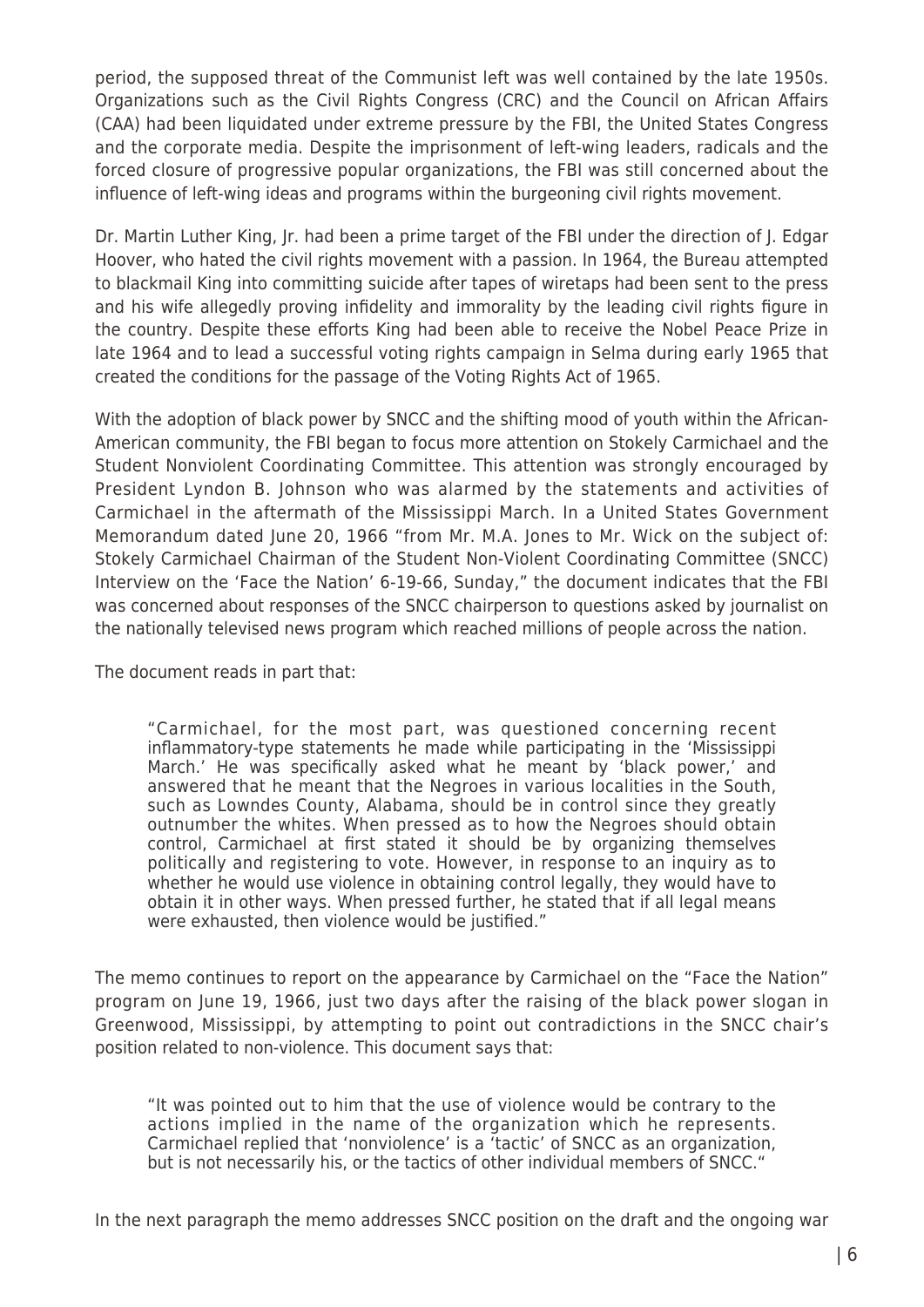period, the supposed threat of the Communist left was well contained by the late 1950s. Organizations such as the Civil Rights Congress (CRC) and the Council on African Affairs (CAA) had been liquidated under extreme pressure by the FBI, the United States Congress and the corporate media. Despite the imprisonment of left-wing leaders, radicals and the forced closure of progressive popular organizations, the FBI was still concerned about the influence of left-wing ideas and programs within the burgeoning civil rights movement.

Dr. Martin Luther King, Jr. had been a prime target of the FBI under the direction of J. Edgar Hoover, who hated the civil rights movement with a passion. In 1964, the Bureau attempted to blackmail King into committing suicide after tapes of wiretaps had been sent to the press and his wife allegedly proving infidelity and immorality by the leading civil rights figure in the country. Despite these efforts King had been able to receive the Nobel Peace Prize in late 1964 and to lead a successful voting rights campaign in Selma during early 1965 that created the conditions for the passage of the Voting Rights Act of 1965.

With the adoption of black power by SNCC and the shifting mood of youth within the African-American community, the FBI began to focus more attention on Stokely Carmichael and the Student Nonviolent Coordinating Committee. This attention was strongly encouraged by President Lyndon B. Johnson who was alarmed by the statements and activities of Carmichael in the aftermath of the Mississippi March. In a United States Government Memorandum dated June 20, 1966 "from Mr. M.A. Jones to Mr. Wick on the subject of: Stokely Carmichael Chairman of the Student Non-Violent Coordinating Committee (SNCC) Interview on the 'Face the Nation' 6-19-66, Sunday," the document indicates that the FBI was concerned about responses of the SNCC chairperson to questions asked by journalist on the nationally televised news program which reached millions of people across the nation.

The document reads in part that:

"Carmichael, for the most part, was questioned concerning recent inflammatory-type statements he made while participating in the 'Mississippi March.' He was specifically asked what he meant by 'black power,' and answered that he meant that the Negroes in various localities in the South, such as Lowndes County, Alabama, should be in control since they greatly outnumber the whites. When pressed as to how the Negroes should obtain control, Carmichael at first stated it should be by organizing themselves politically and registering to vote. However, in response to an inquiry as to whether he would use violence in obtaining control legally, they would have to obtain it in other ways. When pressed further, he stated that if all legal means were exhausted, then violence would be justified."

The memo continues to report on the appearance by Carmichael on the "Face the Nation" program on June 19, 1966, just two days after the raising of the black power slogan in Greenwood, Mississippi, by attempting to point out contradictions in the SNCC chair's position related to non-violence. This document says that:

"It was pointed out to him that the use of violence would be contrary to the actions implied in the name of the organization which he represents. Carmichael replied that 'nonviolence' is a 'tactic' of SNCC as an organization, but is not necessarily his, or the tactics of other individual members of SNCC."

In the next paragraph the memo addresses SNCC position on the draft and the ongoing war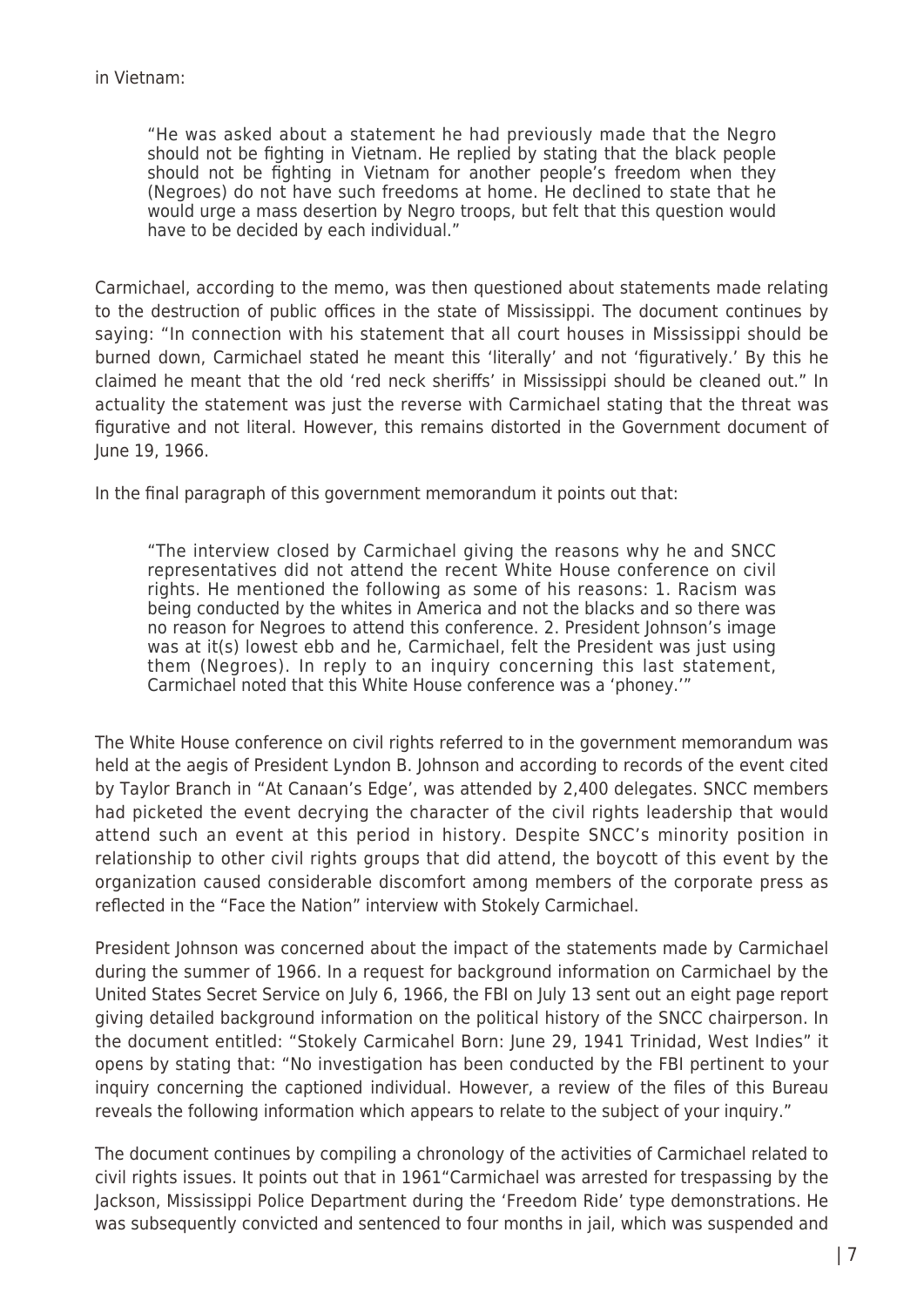"He was asked about a statement he had previously made that the Negro should not be fighting in Vietnam. He replied by stating that the black people should not be fighting in Vietnam for another people's freedom when they (Negroes) do not have such freedoms at home. He declined to state that he would urge a mass desertion by Negro troops, but felt that this question would have to be decided by each individual."

Carmichael, according to the memo, was then questioned about statements made relating to the destruction of public offices in the state of Mississippi. The document continues by saying: "In connection with his statement that all court houses in Mississippi should be burned down, Carmichael stated he meant this 'literally' and not 'figuratively.' By this he claimed he meant that the old 'red neck sheriffs' in Mississippi should be cleaned out." In actuality the statement was just the reverse with Carmichael stating that the threat was figurative and not literal. However, this remains distorted in the Government document of June 19, 1966.

In the final paragraph of this government memorandum it points out that:

"The interview closed by Carmichael giving the reasons why he and SNCC representatives did not attend the recent White House conference on civil rights. He mentioned the following as some of his reasons: 1. Racism was being conducted by the whites in America and not the blacks and so there was no reason for Negroes to attend this conference. 2. President Johnson's image was at it(s) lowest ebb and he, Carmichael, felt the President was just using them (Negroes). In reply to an inquiry concerning this last statement, Carmichael noted that this White House conference was a 'phoney.'"

The White House conference on civil rights referred to in the government memorandum was held at the aegis of President Lyndon B. Johnson and according to records of the event cited by Taylor Branch in "At Canaan's Edge', was attended by 2,400 delegates. SNCC members had picketed the event decrying the character of the civil rights leadership that would attend such an event at this period in history. Despite SNCC's minority position in relationship to other civil rights groups that did attend, the boycott of this event by the organization caused considerable discomfort among members of the corporate press as reflected in the "Face the Nation" interview with Stokely Carmichael.

President Johnson was concerned about the impact of the statements made by Carmichael during the summer of 1966. In a request for background information on Carmichael by the United States Secret Service on July 6, 1966, the FBI on July 13 sent out an eight page report giving detailed background information on the political history of the SNCC chairperson. In the document entitled: "Stokely Carmicahel Born: June 29, 1941 Trinidad, West Indies" it opens by stating that: "No investigation has been conducted by the FBI pertinent to your inquiry concerning the captioned individual. However, a review of the files of this Bureau reveals the following information which appears to relate to the subject of your inquiry."

The document continues by compiling a chronology of the activities of Carmichael related to civil rights issues. It points out that in 1961"Carmichael was arrested for trespassing by the Jackson, Mississippi Police Department during the 'Freedom Ride' type demonstrations. He was subsequently convicted and sentenced to four months in jail, which was suspended and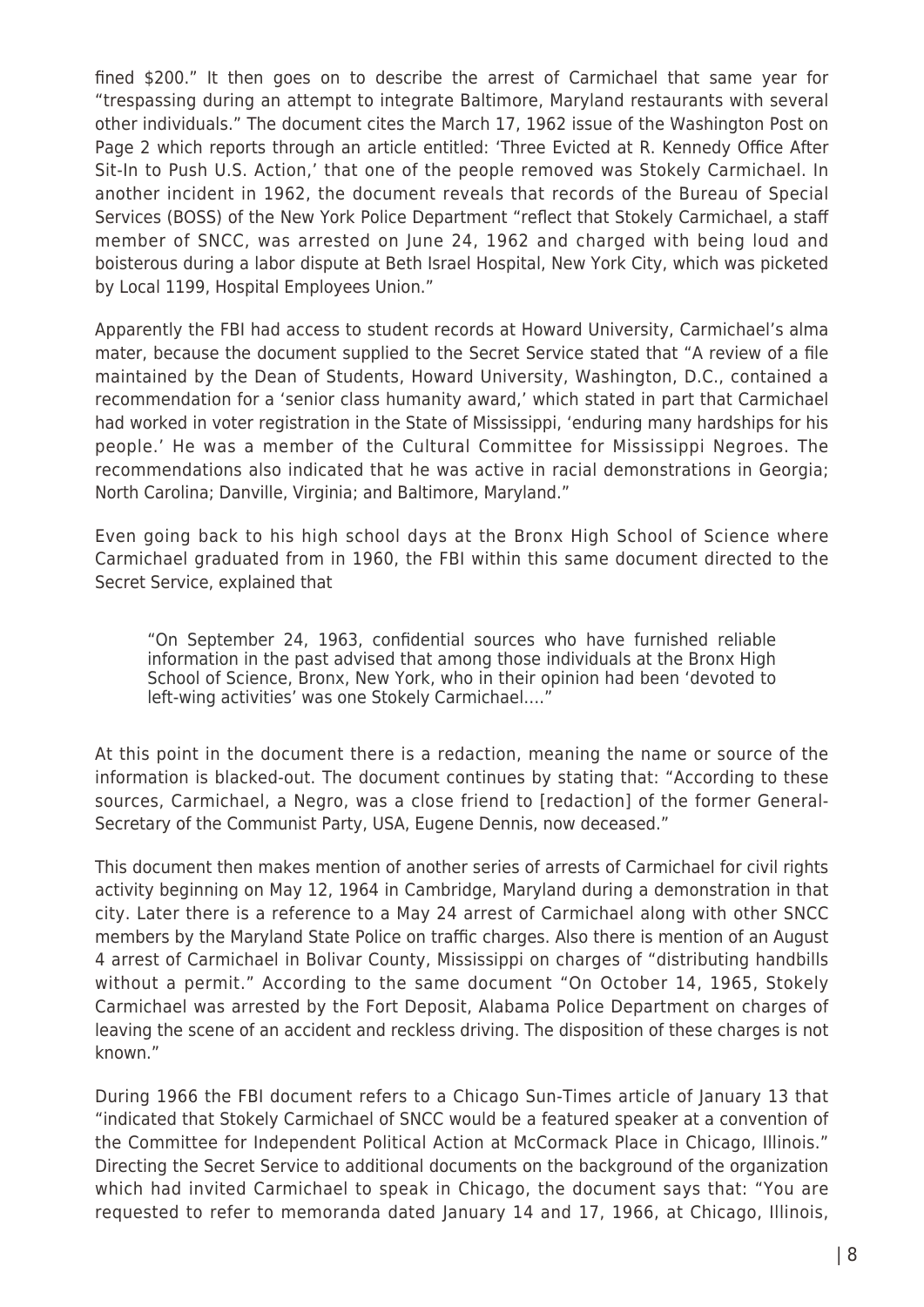fined \$200." It then goes on to describe the arrest of Carmichael that same year for "trespassing during an attempt to integrate Baltimore, Maryland restaurants with several other individuals." The document cites the March 17, 1962 issue of the Washington Post on Page 2 which reports through an article entitled: 'Three Evicted at R. Kennedy Office After Sit-In to Push U.S. Action,' that one of the people removed was Stokely Carmichael. In another incident in 1962, the document reveals that records of the Bureau of Special Services (BOSS) of the New York Police Department "reflect that Stokely Carmichael, a staff member of SNCC, was arrested on June 24, 1962 and charged with being loud and boisterous during a labor dispute at Beth Israel Hospital, New York City, which was picketed by Local 1199, Hospital Employees Union."

Apparently the FBI had access to student records at Howard University, Carmichael's alma mater, because the document supplied to the Secret Service stated that "A review of a file maintained by the Dean of Students, Howard University, Washington, D.C., contained a recommendation for a 'senior class humanity award,' which stated in part that Carmichael had worked in voter registration in the State of Mississippi, 'enduring many hardships for his people.' He was a member of the Cultural Committee for Mississippi Negroes. The recommendations also indicated that he was active in racial demonstrations in Georgia; North Carolina; Danville, Virginia; and Baltimore, Maryland."

Even going back to his high school days at the Bronx High School of Science where Carmichael graduated from in 1960, the FBI within this same document directed to the Secret Service, explained that

"On September 24, 1963, confidential sources who have furnished reliable information in the past advised that among those individuals at the Bronx High School of Science, Bronx, New York, who in their opinion had been 'devoted to left-wing activities' was one Stokely Carmichael…."

At this point in the document there is a redaction, meaning the name or source of the information is blacked-out. The document continues by stating that: "According to these sources, Carmichael, a Negro, was a close friend to [redaction] of the former General-Secretary of the Communist Party, USA, Eugene Dennis, now deceased."

This document then makes mention of another series of arrests of Carmichael for civil rights activity beginning on May 12, 1964 in Cambridge, Maryland during a demonstration in that city. Later there is a reference to a May 24 arrest of Carmichael along with other SNCC members by the Maryland State Police on traffic charges. Also there is mention of an August 4 arrest of Carmichael in Bolivar County, Mississippi on charges of "distributing handbills without a permit." According to the same document "On October 14, 1965, Stokely Carmichael was arrested by the Fort Deposit, Alabama Police Department on charges of leaving the scene of an accident and reckless driving. The disposition of these charges is not known."

During 1966 the FBI document refers to a Chicago Sun-Times article of January 13 that "indicated that Stokely Carmichael of SNCC would be a featured speaker at a convention of the Committee for Independent Political Action at McCormack Place in Chicago, Illinois." Directing the Secret Service to additional documents on the background of the organization which had invited Carmichael to speak in Chicago, the document says that: "You are requested to refer to memoranda dated January 14 and 17, 1966, at Chicago, Illinois,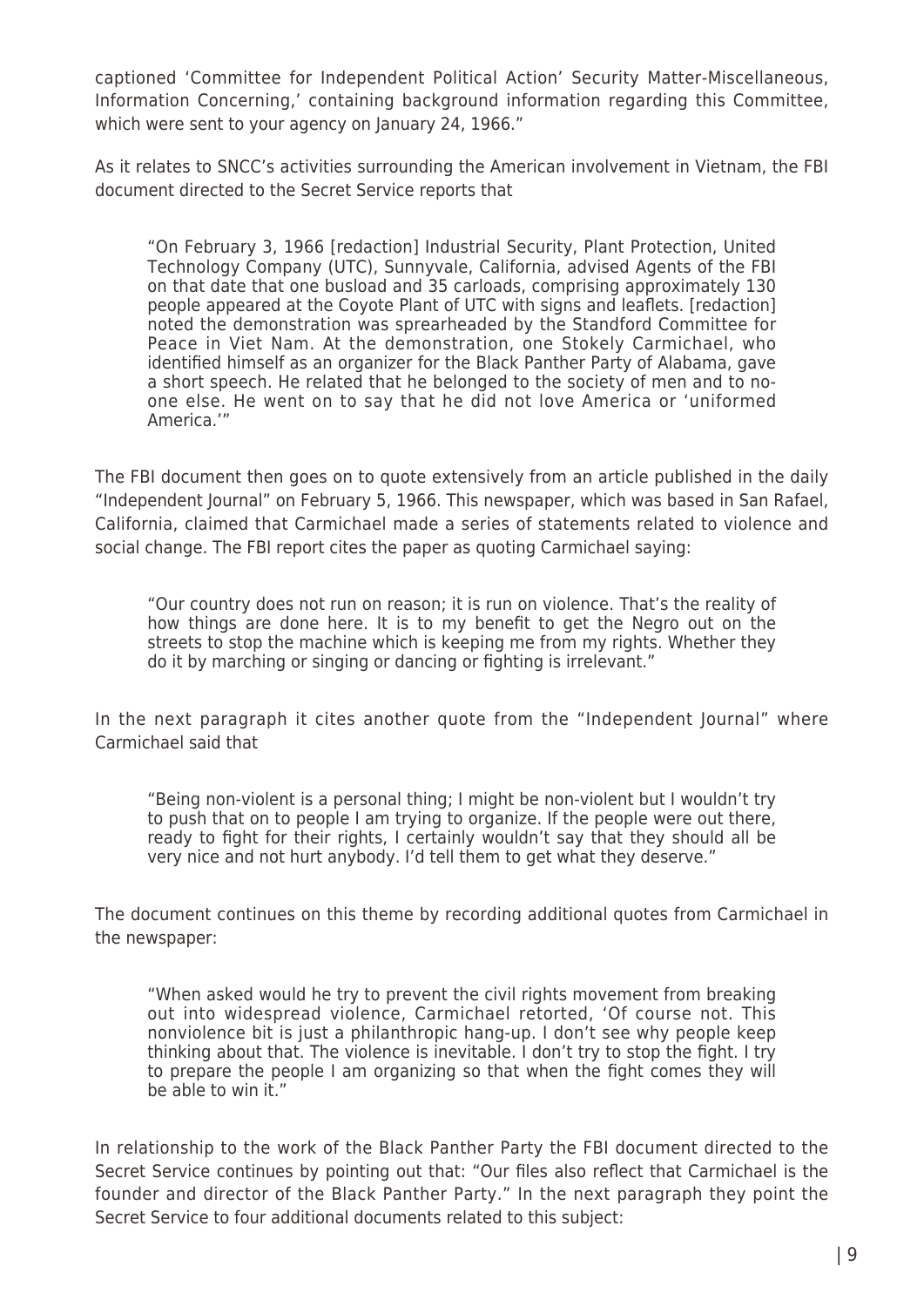captioned 'Committee for Independent Political Action' Security Matter-Miscellaneous, Information Concerning,' containing background information regarding this Committee, which were sent to your agency on January 24, 1966."

As it relates to SNCC's activities surrounding the American involvement in Vietnam, the FBI document directed to the Secret Service reports that

"On February 3, 1966 [redaction] Industrial Security, Plant Protection, United Technology Company (UTC), Sunnyvale, California, advised Agents of the FBI on that date that one busload and 35 carloads, comprising approximately 130 people appeared at the Coyote Plant of UTC with signs and leaflets. [redaction] noted the demonstration was sprearheaded by the Standford Committee for Peace in Viet Nam. At the demonstration, one Stokely Carmichael, who identified himself as an organizer for the Black Panther Party of Alabama, gave a short speech. He related that he belonged to the society of men and to noone else. He went on to say that he did not love America or 'uniformed America.'"

The FBI document then goes on to quote extensively from an article published in the daily "Independent Journal" on February 5, 1966. This newspaper, which was based in San Rafael, California, claimed that Carmichael made a series of statements related to violence and social change. The FBI report cites the paper as quoting Carmichael saying:

"Our country does not run on reason; it is run on violence. That's the reality of how things are done here. It is to my benefit to get the Negro out on the streets to stop the machine which is keeping me from my rights. Whether they do it by marching or singing or dancing or fighting is irrelevant."

In the next paragraph it cites another quote from the "Independent Journal" where Carmichael said that

"Being non-violent is a personal thing; I might be non-violent but I wouldn't try to push that on to people I am trying to organize. If the people were out there, ready to fight for their rights, I certainly wouldn't say that they should all be very nice and not hurt anybody. I'd tell them to get what they deserve."

The document continues on this theme by recording additional quotes from Carmichael in the newspaper:

"When asked would he try to prevent the civil rights movement from breaking out into widespread violence, Carmichael retorted, 'Of course not. This nonviolence bit is just a philanthropic hang-up. I don't see why people keep thinking about that. The violence is inevitable. I don't try to stop the fight. I try to prepare the people I am organizing so that when the fight comes they will be able to win it."

In relationship to the work of the Black Panther Party the FBI document directed to the Secret Service continues by pointing out that: "Our files also reflect that Carmichael is the founder and director of the Black Panther Party." In the next paragraph they point the Secret Service to four additional documents related to this subject: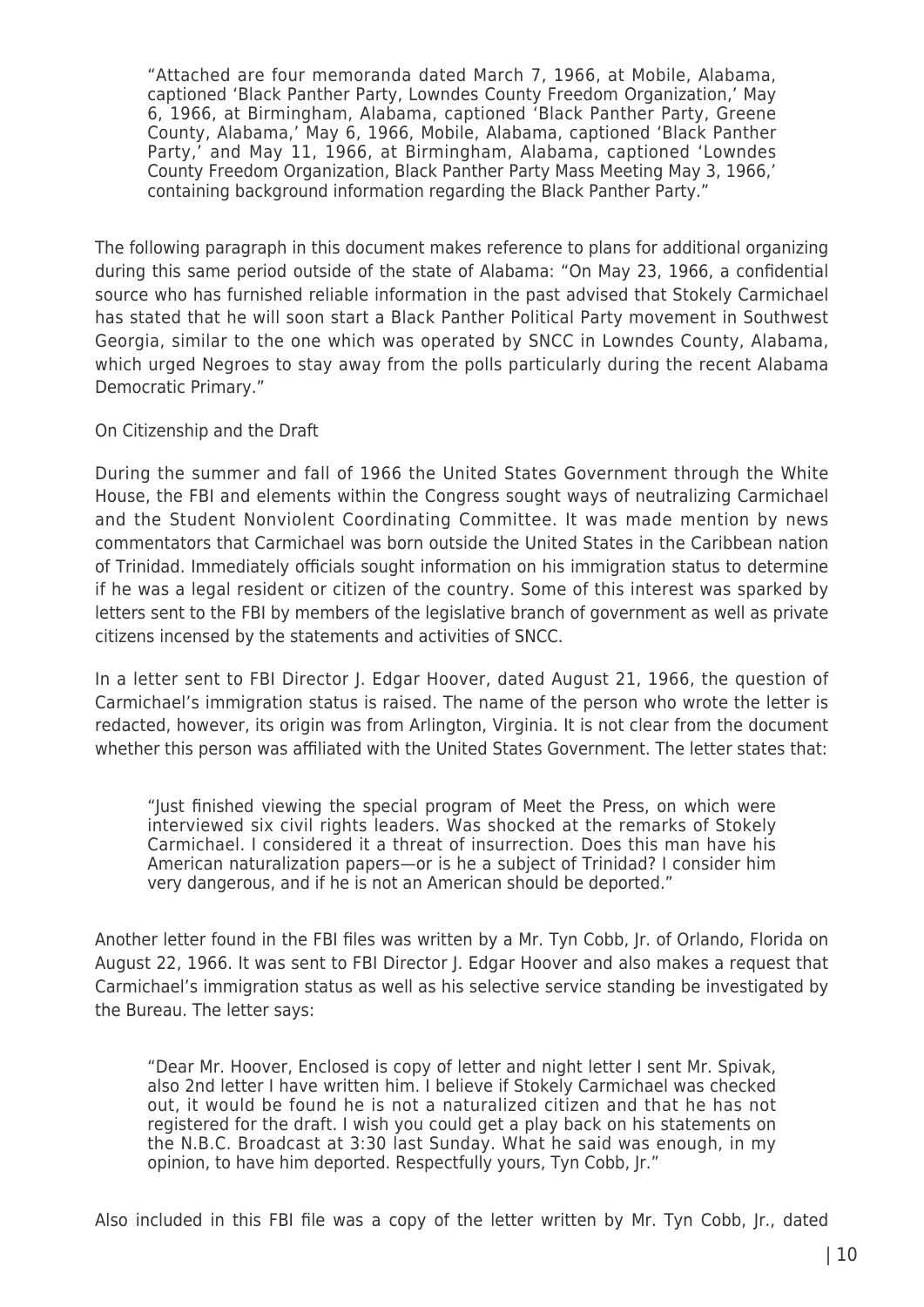"Attached are four memoranda dated March 7, 1966, at Mobile, Alabama, captioned 'Black Panther Party, Lowndes County Freedom Organization,' May 6, 1966, at Birmingham, Alabama, captioned 'Black Panther Party, Greene County, Alabama,' May 6, 1966, Mobile, Alabama, captioned 'Black Panther Party,' and May 11, 1966, at Birmingham, Alabama, captioned 'Lowndes County Freedom Organization, Black Panther Party Mass Meeting May 3, 1966,' containing background information regarding the Black Panther Party."

The following paragraph in this document makes reference to plans for additional organizing during this same period outside of the state of Alabama: "On May 23, 1966, a confidential source who has furnished reliable information in the past advised that Stokely Carmichael has stated that he will soon start a Black Panther Political Party movement in Southwest Georgia, similar to the one which was operated by SNCC in Lowndes County, Alabama, which urged Negroes to stay away from the polls particularly during the recent Alabama Democratic Primary."

On Citizenship and the Draft

During the summer and fall of 1966 the United States Government through the White House, the FBI and elements within the Congress sought ways of neutralizing Carmichael and the Student Nonviolent Coordinating Committee. It was made mention by news commentators that Carmichael was born outside the United States in the Caribbean nation of Trinidad. Immediately officials sought information on his immigration status to determine if he was a legal resident or citizen of the country. Some of this interest was sparked by letters sent to the FBI by members of the legislative branch of government as well as private citizens incensed by the statements and activities of SNCC.

In a letter sent to FBI Director J. Edgar Hoover, dated August 21, 1966, the question of Carmichael's immigration status is raised. The name of the person who wrote the letter is redacted, however, its origin was from Arlington, Virginia. It is not clear from the document whether this person was affiliated with the United States Government. The letter states that:

"Just finished viewing the special program of Meet the Press, on which were interviewed six civil rights leaders. Was shocked at the remarks of Stokely Carmichael. I considered it a threat of insurrection. Does this man have his American naturalization papers—or is he a subject of Trinidad? I consider him very dangerous, and if he is not an American should be deported."

Another letter found in the FBI files was written by a Mr. Tyn Cobb, Jr. of Orlando, Florida on August 22, 1966. It was sent to FBI Director J. Edgar Hoover and also makes a request that Carmichael's immigration status as well as his selective service standing be investigated by the Bureau. The letter says:

"Dear Mr. Hoover, Enclosed is copy of letter and night letter I sent Mr. Spivak, also 2nd letter I have written him. I believe if Stokely Carmichael was checked out, it would be found he is not a naturalized citizen and that he has not registered for the draft. I wish you could get a play back on his statements on the N.B.C. Broadcast at 3:30 last Sunday. What he said was enough, in my opinion, to have him deported. Respectfully yours, Tyn Cobb, Jr."

Also included in this FBI file was a copy of the letter written by Mr. Tyn Cobb, Jr., dated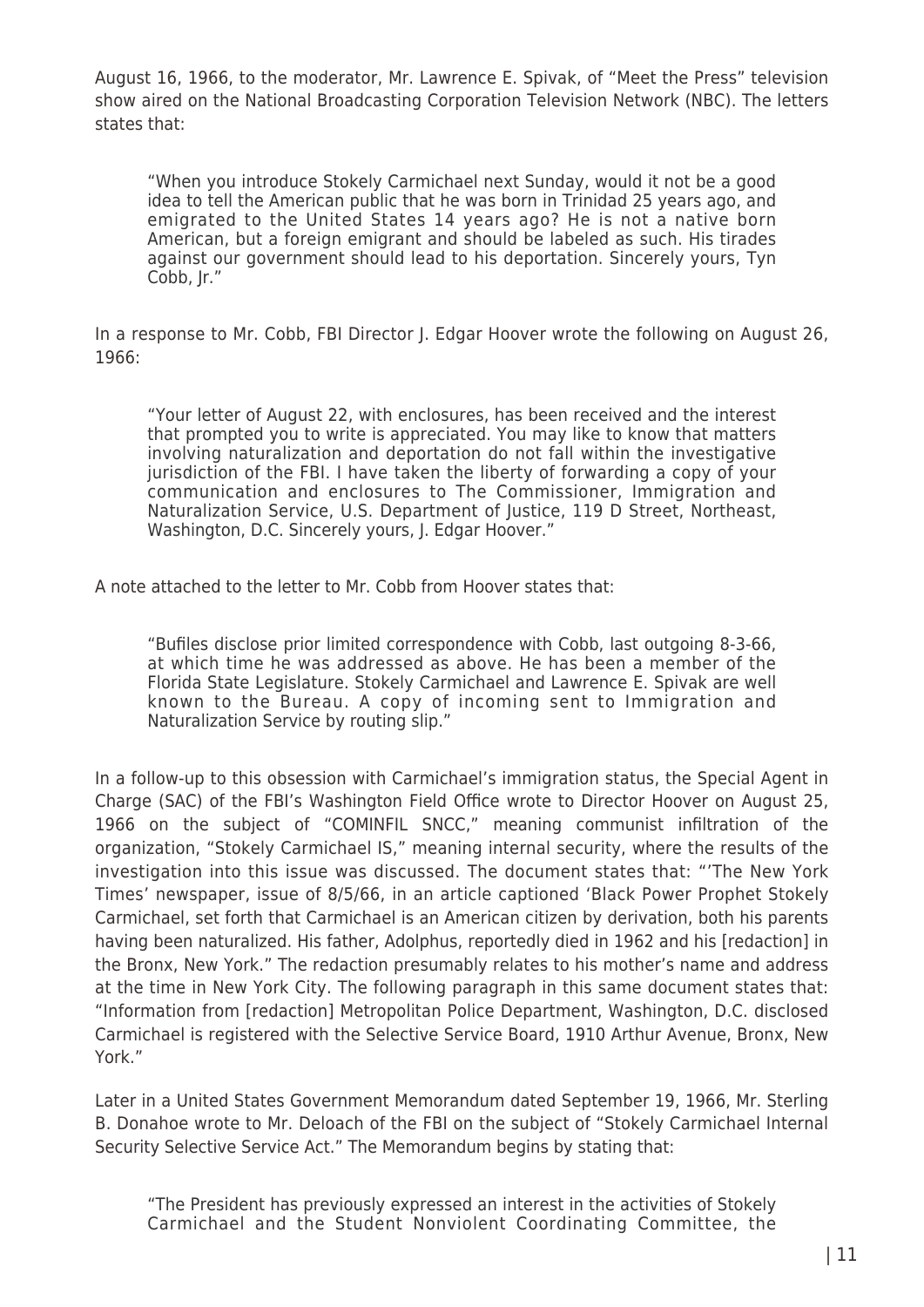August 16, 1966, to the moderator, Mr. Lawrence E. Spivak, of "Meet the Press" television show aired on the National Broadcasting Corporation Television Network (NBC). The letters states that:

"When you introduce Stokely Carmichael next Sunday, would it not be a good idea to tell the American public that he was born in Trinidad 25 years ago, and emigrated to the United States 14 years ago? He is not a native born American, but a foreign emigrant and should be labeled as such. His tirades against our government should lead to his deportation. Sincerely yours, Tyn Cobb, Jr."

In a response to Mr. Cobb, FBI Director J. Edgar Hoover wrote the following on August 26, 1966:

"Your letter of August 22, with enclosures, has been received and the interest that prompted you to write is appreciated. You may like to know that matters involving naturalization and deportation do not fall within the investigative jurisdiction of the FBI. I have taken the liberty of forwarding a copy of your communication and enclosures to The Commissioner, Immigration and Naturalization Service, U.S. Department of Justice, 119 D Street, Northeast, Washington, D.C. Sincerely yours, J. Edgar Hoover."

A note attached to the letter to Mr. Cobb from Hoover states that:

"Bufiles disclose prior limited correspondence with Cobb, last outgoing 8-3-66, at which time he was addressed as above. He has been a member of the Florida State Legislature. Stokely Carmichael and Lawrence E. Spivak are well known to the Bureau. A copy of incoming sent to Immigration and Naturalization Service by routing slip."

In a follow-up to this obsession with Carmichael's immigration status, the Special Agent in Charge (SAC) of the FBI's Washington Field Office wrote to Director Hoover on August 25, 1966 on the subject of "COMINFIL SNCC," meaning communist infiltration of the organization, "Stokely Carmichael IS," meaning internal security, where the results of the investigation into this issue was discussed. The document states that: "'The New York Times' newspaper, issue of 8/5/66, in an article captioned 'Black Power Prophet Stokely Carmichael, set forth that Carmichael is an American citizen by derivation, both his parents having been naturalized. His father, Adolphus, reportedly died in 1962 and his [redaction] in the Bronx, New York." The redaction presumably relates to his mother's name and address at the time in New York City. The following paragraph in this same document states that: "Information from [redaction] Metropolitan Police Department, Washington, D.C. disclosed Carmichael is registered with the Selective Service Board, 1910 Arthur Avenue, Bronx, New York."

Later in a United States Government Memorandum dated September 19, 1966, Mr. Sterling B. Donahoe wrote to Mr. Deloach of the FBI on the subject of "Stokely Carmichael Internal Security Selective Service Act." The Memorandum begins by stating that:

"The President has previously expressed an interest in the activities of Stokely Carmichael and the Student Nonviolent Coordinating Committee, the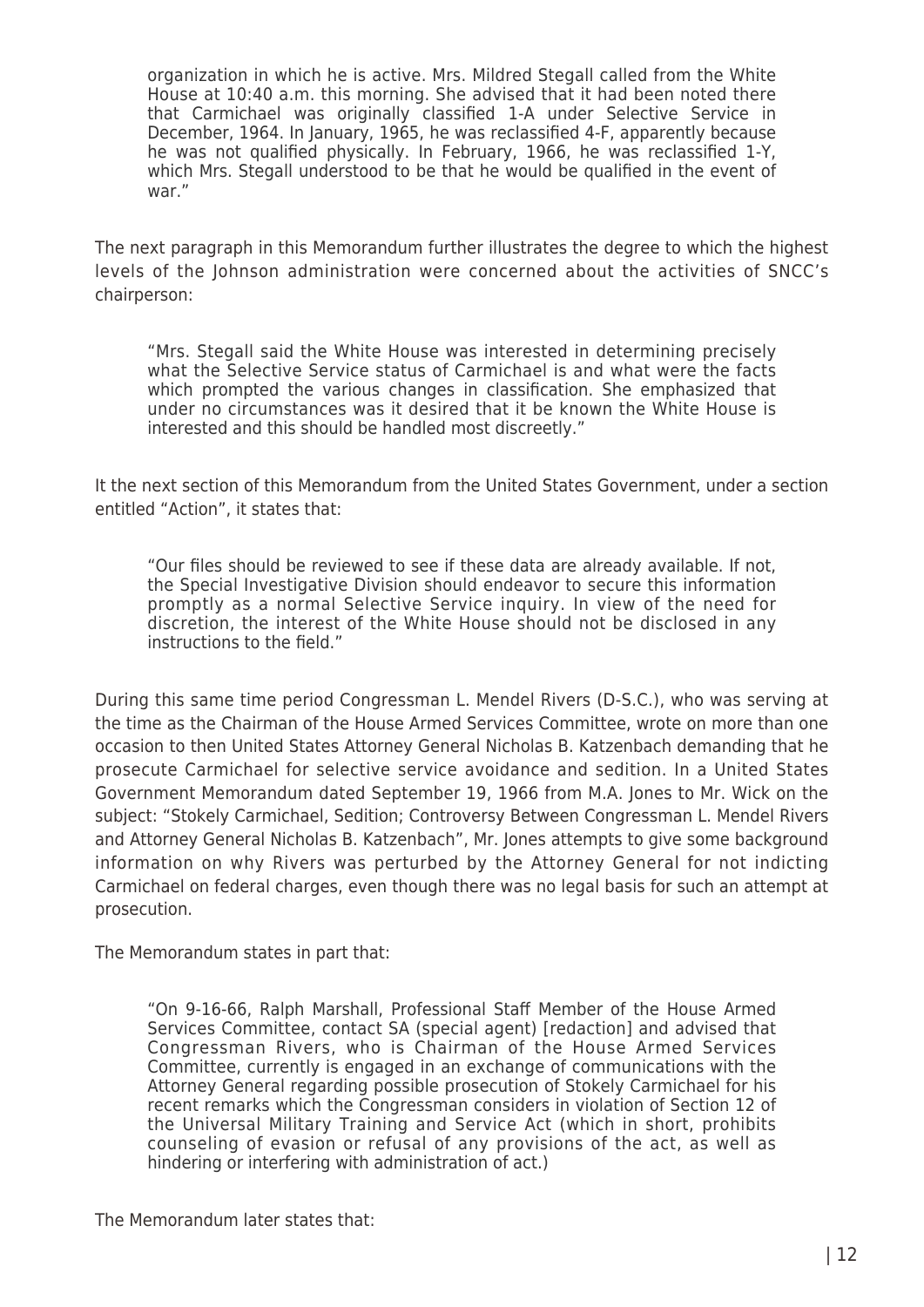organization in which he is active. Mrs. Mildred Stegall called from the White House at 10:40 a.m. this morning. She advised that it had been noted there that Carmichael was originally classified 1-A under Selective Service in December, 1964. In January, 1965, he was reclassified 4-F, apparently because he was not qualified physically. In February, 1966, he was reclassified 1-Y, which Mrs. Stegall understood to be that he would be qualified in the event of war."

The next paragraph in this Memorandum further illustrates the degree to which the highest levels of the Johnson administration were concerned about the activities of SNCC's chairperson:

"Mrs. Stegall said the White House was interested in determining precisely what the Selective Service status of Carmichael is and what were the facts which prompted the various changes in classification. She emphasized that under no circumstances was it desired that it be known the White House is interested and this should be handled most discreetly."

It the next section of this Memorandum from the United States Government, under a section entitled "Action", it states that:

"Our files should be reviewed to see if these data are already available. If not, the Special Investigative Division should endeavor to secure this information promptly as a normal Selective Service inquiry. In view of the need for discretion, the interest of the White House should not be disclosed in any instructions to the field."

During this same time period Congressman L. Mendel Rivers (D-S.C.), who was serving at the time as the Chairman of the House Armed Services Committee, wrote on more than one occasion to then United States Attorney General Nicholas B. Katzenbach demanding that he prosecute Carmichael for selective service avoidance and sedition. In a United States Government Memorandum dated September 19, 1966 from M.A. Jones to Mr. Wick on the subject: "Stokely Carmichael, Sedition; Controversy Between Congressman L. Mendel Rivers and Attorney General Nicholas B. Katzenbach", Mr. Jones attempts to give some background information on why Rivers was perturbed by the Attorney General for not indicting Carmichael on federal charges, even though there was no legal basis for such an attempt at prosecution.

The Memorandum states in part that:

"On 9-16-66, Ralph Marshall, Professional Staff Member of the House Armed Services Committee, contact SA (special agent) [redaction] and advised that Congressman Rivers, who is Chairman of the House Armed Services Committee, currently is engaged in an exchange of communications with the Attorney General regarding possible prosecution of Stokely Carmichael for his recent remarks which the Congressman considers in violation of Section 12 of the Universal Military Training and Service Act (which in short, prohibits counseling of evasion or refusal of any provisions of the act, as well as hindering or interfering with administration of act.)

The Memorandum later states that: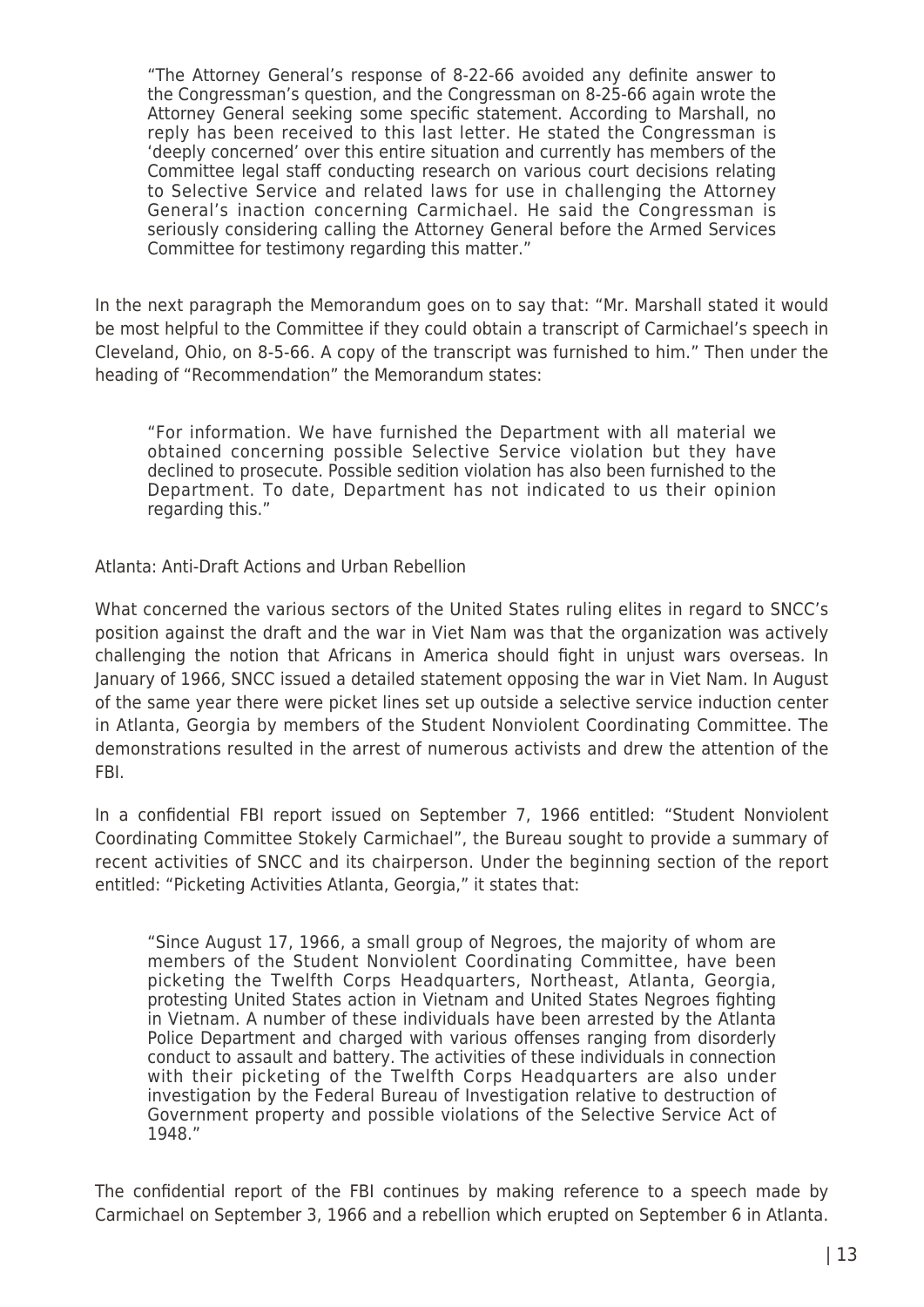"The Attorney General's response of 8-22-66 avoided any definite answer to the Congressman's question, and the Congressman on 8-25-66 again wrote the Attorney General seeking some specific statement. According to Marshall, no reply has been received to this last letter. He stated the Congressman is 'deeply concerned' over this entire situation and currently has members of the Committee legal staff conducting research on various court decisions relating to Selective Service and related laws for use in challenging the Attorney General's inaction concerning Carmichael. He said the Congressman is seriously considering calling the Attorney General before the Armed Services Committee for testimony regarding this matter."

In the next paragraph the Memorandum goes on to say that: "Mr. Marshall stated it would be most helpful to the Committee if they could obtain a transcript of Carmichael's speech in Cleveland, Ohio, on 8-5-66. A copy of the transcript was furnished to him." Then under the heading of "Recommendation" the Memorandum states:

"For information. We have furnished the Department with all material we obtained concerning possible Selective Service violation but they have declined to prosecute. Possible sedition violation has also been furnished to the Department. To date, Department has not indicated to us their opinion regarding this."

Atlanta: Anti-Draft Actions and Urban Rebellion

What concerned the various sectors of the United States ruling elites in regard to SNCC's position against the draft and the war in Viet Nam was that the organization was actively challenging the notion that Africans in America should fight in unjust wars overseas. In January of 1966, SNCC issued a detailed statement opposing the war in Viet Nam. In August of the same year there were picket lines set up outside a selective service induction center in Atlanta, Georgia by members of the Student Nonviolent Coordinating Committee. The demonstrations resulted in the arrest of numerous activists and drew the attention of the FBI.

In a confidential FBI report issued on September 7, 1966 entitled: "Student Nonviolent Coordinating Committee Stokely Carmichael", the Bureau sought to provide a summary of recent activities of SNCC and its chairperson. Under the beginning section of the report entitled: "Picketing Activities Atlanta, Georgia," it states that:

"Since August 17, 1966, a small group of Negroes, the majority of whom are members of the Student Nonviolent Coordinating Committee, have been picketing the Twelfth Corps Headquarters, Northeast, Atlanta, Georgia, protesting United States action in Vietnam and United States Negroes fighting in Vietnam. A number of these individuals have been arrested by the Atlanta Police Department and charged with various offenses ranging from disorderly conduct to assault and battery. The activities of these individuals in connection with their picketing of the Twelfth Corps Headquarters are also under investigation by the Federal Bureau of Investigation relative to destruction of Government property and possible violations of the Selective Service Act of 1948."

The confidential report of the FBI continues by making reference to a speech made by Carmichael on September 3, 1966 and a rebellion which erupted on September 6 in Atlanta.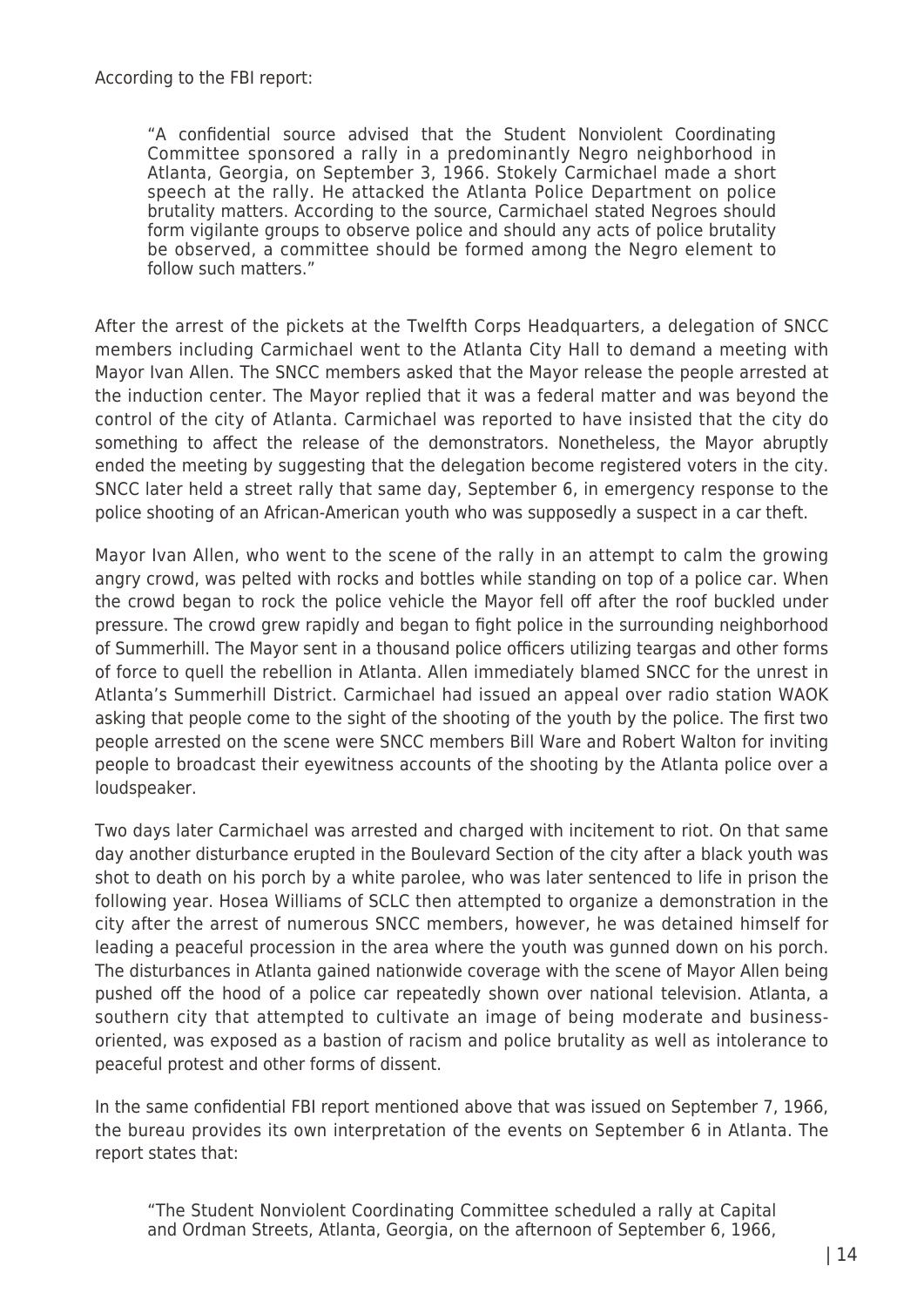"A confidential source advised that the Student Nonviolent Coordinating Committee sponsored a rally in a predominantly Negro neighborhood in Atlanta, Georgia, on September 3, 1966. Stokely Carmichael made a short speech at the rally. He attacked the Atlanta Police Department on police brutality matters. According to the source, Carmichael stated Negroes should form vigilante groups to observe police and should any acts of police brutality be observed, a committee should be formed among the Negro element to follow such matters."

After the arrest of the pickets at the Twelfth Corps Headquarters, a delegation of SNCC members including Carmichael went to the Atlanta City Hall to demand a meeting with Mayor Ivan Allen. The SNCC members asked that the Mayor release the people arrested at the induction center. The Mayor replied that it was a federal matter and was beyond the control of the city of Atlanta. Carmichael was reported to have insisted that the city do something to affect the release of the demonstrators. Nonetheless, the Mayor abruptly ended the meeting by suggesting that the delegation become registered voters in the city. SNCC later held a street rally that same day, September 6, in emergency response to the police shooting of an African-American youth who was supposedly a suspect in a car theft.

Mayor Ivan Allen, who went to the scene of the rally in an attempt to calm the growing angry crowd, was pelted with rocks and bottles while standing on top of a police car. When the crowd began to rock the police vehicle the Mayor fell off after the roof buckled under pressure. The crowd grew rapidly and began to fight police in the surrounding neighborhood of Summerhill. The Mayor sent in a thousand police officers utilizing teargas and other forms of force to quell the rebellion in Atlanta. Allen immediately blamed SNCC for the unrest in Atlanta's Summerhill District. Carmichael had issued an appeal over radio station WAOK asking that people come to the sight of the shooting of the youth by the police. The first two people arrested on the scene were SNCC members Bill Ware and Robert Walton for inviting people to broadcast their eyewitness accounts of the shooting by the Atlanta police over a loudspeaker.

Two days later Carmichael was arrested and charged with incitement to riot. On that same day another disturbance erupted in the Boulevard Section of the city after a black youth was shot to death on his porch by a white parolee, who was later sentenced to life in prison the following year. Hosea Williams of SCLC then attempted to organize a demonstration in the city after the arrest of numerous SNCC members, however, he was detained himself for leading a peaceful procession in the area where the youth was gunned down on his porch. The disturbances in Atlanta gained nationwide coverage with the scene of Mayor Allen being pushed off the hood of a police car repeatedly shown over national television. Atlanta, a southern city that attempted to cultivate an image of being moderate and businessoriented, was exposed as a bastion of racism and police brutality as well as intolerance to peaceful protest and other forms of dissent.

In the same confidential FBI report mentioned above that was issued on September 7, 1966, the bureau provides its own interpretation of the events on September 6 in Atlanta. The report states that:

"The Student Nonviolent Coordinating Committee scheduled a rally at Capital and Ordman Streets, Atlanta, Georgia, on the afternoon of September 6, 1966,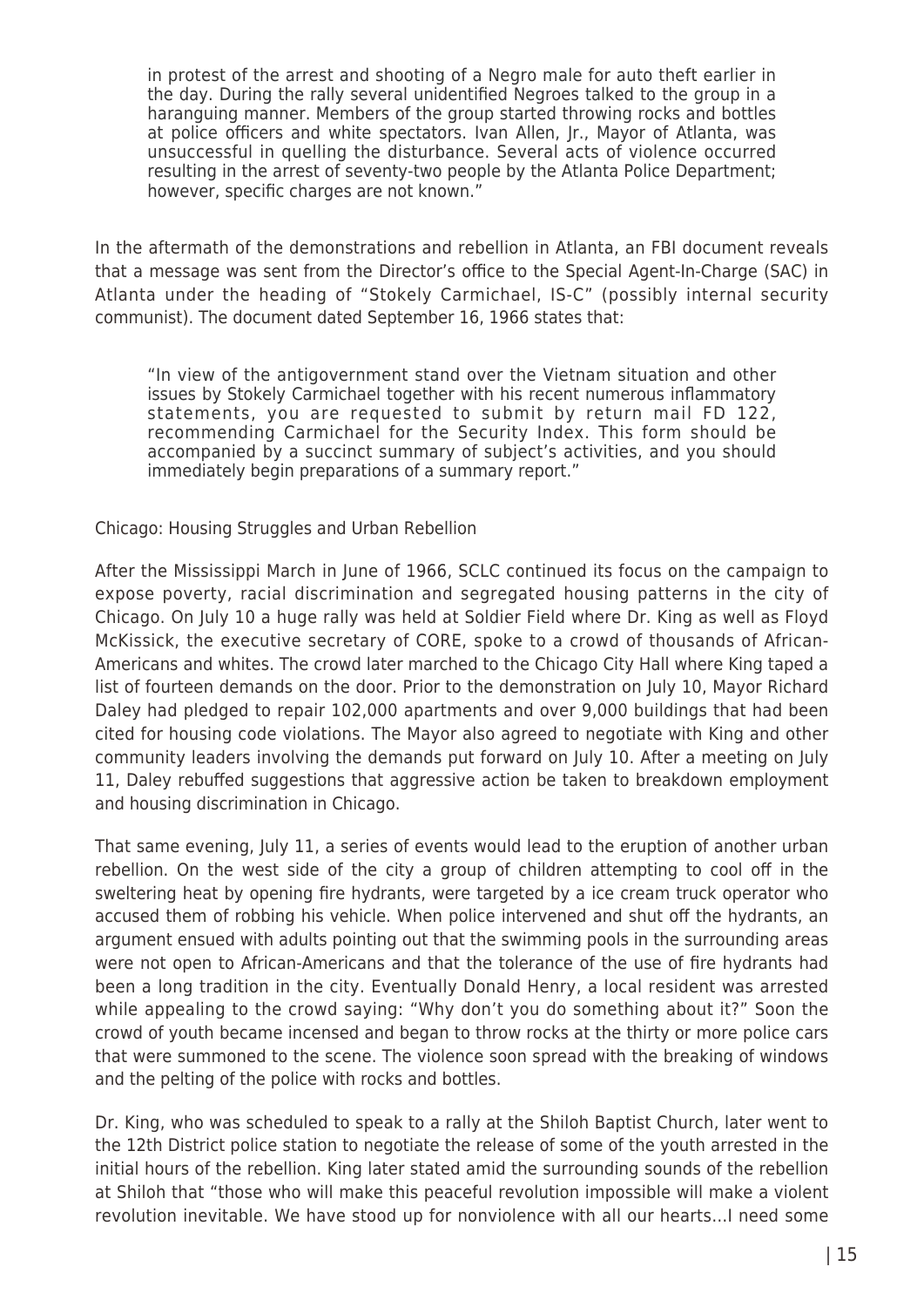in protest of the arrest and shooting of a Negro male for auto theft earlier in the day. During the rally several unidentified Negroes talked to the group in a haranguing manner. Members of the group started throwing rocks and bottles at police officers and white spectators. Ivan Allen, Jr., Mayor of Atlanta, was unsuccessful in quelling the disturbance. Several acts of violence occurred resulting in the arrest of seventy-two people by the Atlanta Police Department; however, specific charges are not known.'

In the aftermath of the demonstrations and rebellion in Atlanta, an FBI document reveals that a message was sent from the Director's office to the Special Agent-In-Charge (SAC) in Atlanta under the heading of "Stokely Carmichael, IS-C" (possibly internal security communist). The document dated September 16, 1966 states that:

"In view of the antigovernment stand over the Vietnam situation and other issues by Stokely Carmichael together with his recent numerous inflammatory statements, you are requested to submit by return mail FD 122, recommending Carmichael for the Security Index. This form should be accompanied by a succinct summary of subject's activities, and you should immediately begin preparations of a summary report."

## Chicago: Housing Struggles and Urban Rebellion

After the Mississippi March in June of 1966, SCLC continued its focus on the campaign to expose poverty, racial discrimination and segregated housing patterns in the city of Chicago. On July 10 a huge rally was held at Soldier Field where Dr. King as well as Floyd McKissick, the executive secretary of CORE, spoke to a crowd of thousands of African-Americans and whites. The crowd later marched to the Chicago City Hall where King taped a list of fourteen demands on the door. Prior to the demonstration on July 10, Mayor Richard Daley had pledged to repair 102,000 apartments and over 9,000 buildings that had been cited for housing code violations. The Mayor also agreed to negotiate with King and other community leaders involving the demands put forward on July 10. After a meeting on July 11, Daley rebuffed suggestions that aggressive action be taken to breakdown employment and housing discrimination in Chicago.

That same evening, July 11, a series of events would lead to the eruption of another urban rebellion. On the west side of the city a group of children attempting to cool off in the sweltering heat by opening fire hydrants, were targeted by a ice cream truck operator who accused them of robbing his vehicle. When police intervened and shut off the hydrants, an argument ensued with adults pointing out that the swimming pools in the surrounding areas were not open to African-Americans and that the tolerance of the use of fire hydrants had been a long tradition in the city. Eventually Donald Henry, a local resident was arrested while appealing to the crowd saying: "Why don't you do something about it?" Soon the crowd of youth became incensed and began to throw rocks at the thirty or more police cars that were summoned to the scene. The violence soon spread with the breaking of windows and the pelting of the police with rocks and bottles.

Dr. King, who was scheduled to speak to a rally at the Shiloh Baptist Church, later went to the 12th District police station to negotiate the release of some of the youth arrested in the initial hours of the rebellion. King later stated amid the surrounding sounds of the rebellion at Shiloh that "those who will make this peaceful revolution impossible will make a violent revolution inevitable. We have stood up for nonviolence with all our hearts…I need some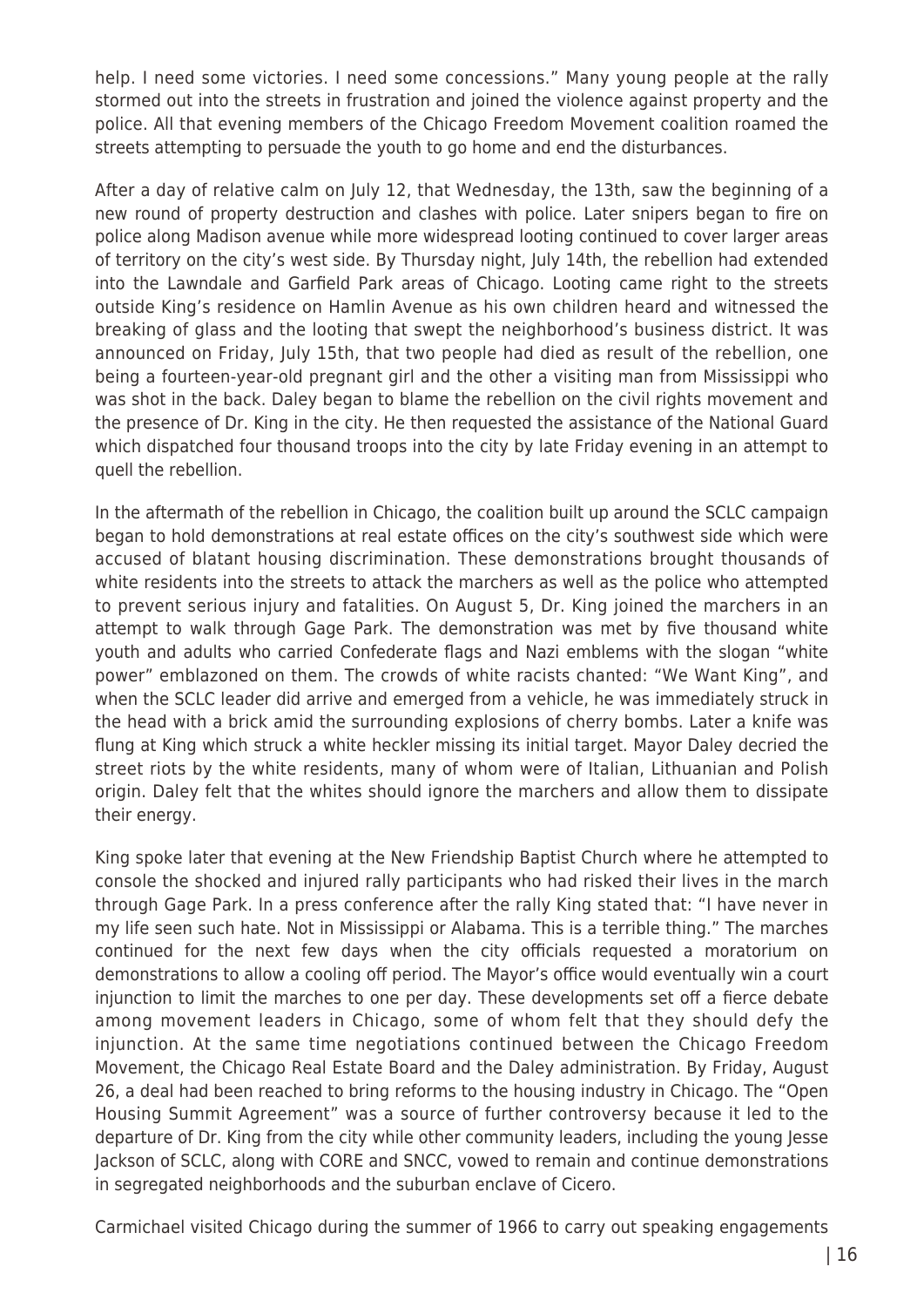help. I need some victories. I need some concessions." Many young people at the rally stormed out into the streets in frustration and joined the violence against property and the police. All that evening members of the Chicago Freedom Movement coalition roamed the streets attempting to persuade the youth to go home and end the disturbances.

After a day of relative calm on July 12, that Wednesday, the 13th, saw the beginning of a new round of property destruction and clashes with police. Later snipers began to fire on police along Madison avenue while more widespread looting continued to cover larger areas of territory on the city's west side. By Thursday night, July 14th, the rebellion had extended into the Lawndale and Garfield Park areas of Chicago. Looting came right to the streets outside King's residence on Hamlin Avenue as his own children heard and witnessed the breaking of glass and the looting that swept the neighborhood's business district. It was announced on Friday, July 15th, that two people had died as result of the rebellion, one being a fourteen-year-old pregnant girl and the other a visiting man from Mississippi who was shot in the back. Daley began to blame the rebellion on the civil rights movement and the presence of Dr. King in the city. He then requested the assistance of the National Guard which dispatched four thousand troops into the city by late Friday evening in an attempt to quell the rebellion.

In the aftermath of the rebellion in Chicago, the coalition built up around the SCLC campaign began to hold demonstrations at real estate offices on the city's southwest side which were accused of blatant housing discrimination. These demonstrations brought thousands of white residents into the streets to attack the marchers as well as the police who attempted to prevent serious injury and fatalities. On August 5, Dr. King joined the marchers in an attempt to walk through Gage Park. The demonstration was met by five thousand white youth and adults who carried Confederate flags and Nazi emblems with the slogan "white power" emblazoned on them. The crowds of white racists chanted: "We Want King", and when the SCLC leader did arrive and emerged from a vehicle, he was immediately struck in the head with a brick amid the surrounding explosions of cherry bombs. Later a knife was flung at King which struck a white heckler missing its initial target. Mayor Daley decried the street riots by the white residents, many of whom were of Italian, Lithuanian and Polish origin. Daley felt that the whites should ignore the marchers and allow them to dissipate their energy.

King spoke later that evening at the New Friendship Baptist Church where he attempted to console the shocked and injured rally participants who had risked their lives in the march through Gage Park. In a press conference after the rally King stated that: "I have never in my life seen such hate. Not in Mississippi or Alabama. This is a terrible thing." The marches continued for the next few days when the city officials requested a moratorium on demonstrations to allow a cooling off period. The Mayor's office would eventually win a court injunction to limit the marches to one per day. These developments set off a fierce debate among movement leaders in Chicago, some of whom felt that they should defy the injunction. At the same time negotiations continued between the Chicago Freedom Movement, the Chicago Real Estate Board and the Daley administration. By Friday, August 26, a deal had been reached to bring reforms to the housing industry in Chicago. The "Open Housing Summit Agreement" was a source of further controversy because it led to the departure of Dr. King from the city while other community leaders, including the young Jesse Jackson of SCLC, along with CORE and SNCC, vowed to remain and continue demonstrations in segregated neighborhoods and the suburban enclave of Cicero.

Carmichael visited Chicago during the summer of 1966 to carry out speaking engagements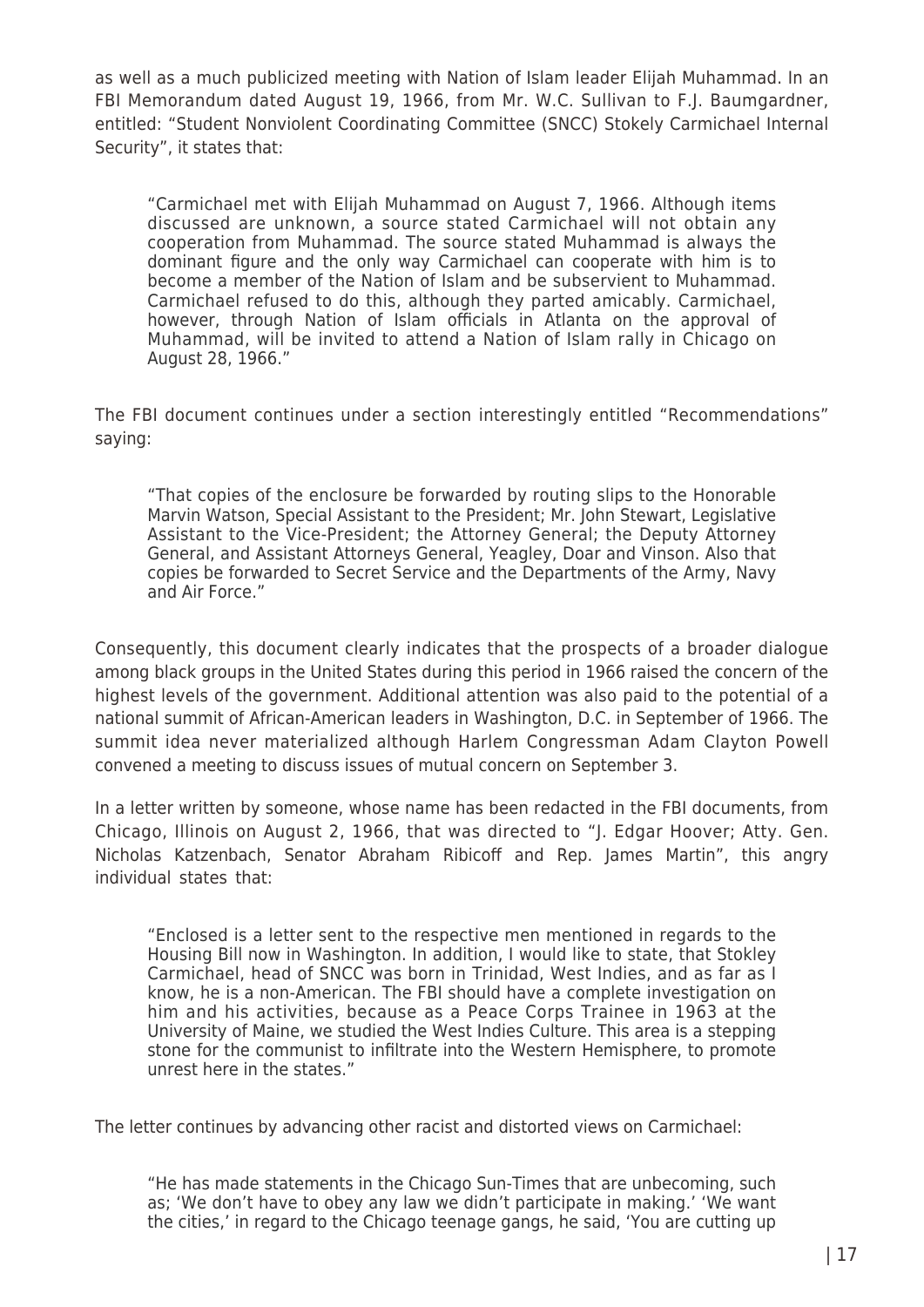as well as a much publicized meeting with Nation of Islam leader Elijah Muhammad. In an FBI Memorandum dated August 19, 1966, from Mr. W.C. Sullivan to F.J. Baumgardner, entitled: "Student Nonviolent Coordinating Committee (SNCC) Stokely Carmichael Internal Security", it states that:

"Carmichael met with Elijah Muhammad on August 7, 1966. Although items discussed are unknown, a source stated Carmichael will not obtain any cooperation from Muhammad. The source stated Muhammad is always the dominant figure and the only way Carmichael can cooperate with him is to become a member of the Nation of Islam and be subservient to Muhammad. Carmichael refused to do this, although they parted amicably. Carmichael, however, through Nation of Islam officials in Atlanta on the approval of Muhammad, will be invited to attend a Nation of Islam rally in Chicago on August 28, 1966."

The FBI document continues under a section interestingly entitled "Recommendations" saying:

"That copies of the enclosure be forwarded by routing slips to the Honorable Marvin Watson, Special Assistant to the President; Mr. John Stewart, Legislative Assistant to the Vice-President; the Attorney General; the Deputy Attorney General, and Assistant Attorneys General, Yeagley, Doar and Vinson. Also that copies be forwarded to Secret Service and the Departments of the Army, Navy and Air Force."

Consequently, this document clearly indicates that the prospects of a broader dialogue among black groups in the United States during this period in 1966 raised the concern of the highest levels of the government. Additional attention was also paid to the potential of a national summit of African-American leaders in Washington, D.C. in September of 1966. The summit idea never materialized although Harlem Congressman Adam Clayton Powell convened a meeting to discuss issues of mutual concern on September 3.

In a letter written by someone, whose name has been redacted in the FBI documents, from Chicago, Illinois on August 2, 1966, that was directed to "J. Edgar Hoover; Atty. Gen. Nicholas Katzenbach, Senator Abraham Ribicoff and Rep. James Martin", this angry individual states that:

"Enclosed is a letter sent to the respective men mentioned in regards to the Housing Bill now in Washington. In addition, I would like to state, that Stokley Carmichael, head of SNCC was born in Trinidad, West Indies, and as far as I know, he is a non-American. The FBI should have a complete investigation on him and his activities, because as a Peace Corps Trainee in 1963 at the University of Maine, we studied the West Indies Culture. This area is a stepping stone for the communist to infiltrate into the Western Hemisphere, to promote unrest here in the states."

The letter continues by advancing other racist and distorted views on Carmichael:

"He has made statements in the Chicago Sun-Times that are unbecoming, such as; 'We don't have to obey any law we didn't participate in making.' 'We want the cities,' in regard to the Chicago teenage gangs, he said, 'You are cutting up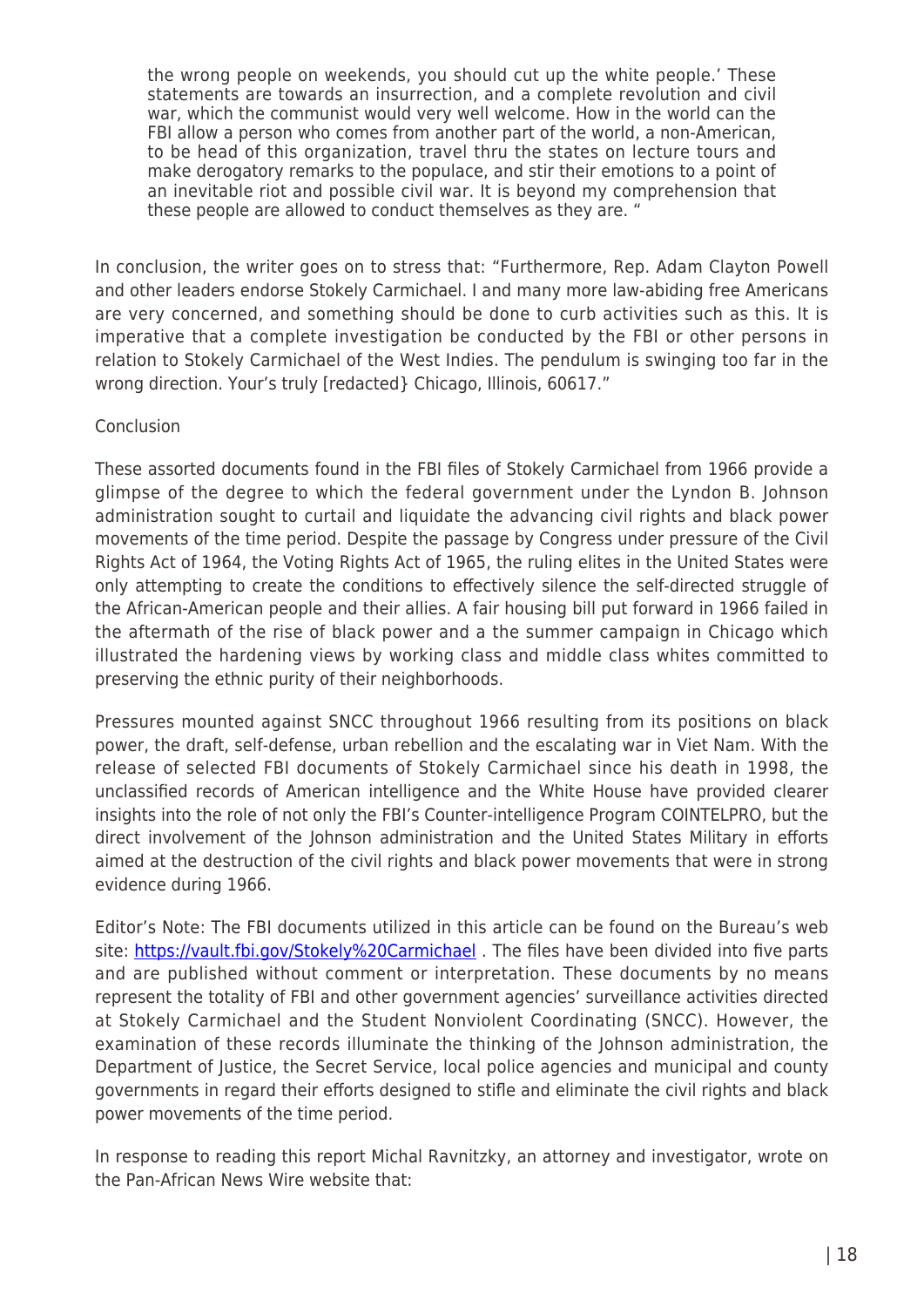the wrong people on weekends, you should cut up the white people.' These statements are towards an insurrection, and a complete revolution and civil war, which the communist would very well welcome. How in the world can the FBI allow a person who comes from another part of the world, a non-American, to be head of this organization, travel thru the states on lecture tours and make derogatory remarks to the populace, and stir their emotions to a point of an inevitable riot and possible civil war. It is beyond my comprehension that these people are allowed to conduct themselves as they are. "

In conclusion, the writer goes on to stress that: "Furthermore, Rep. Adam Clayton Powell and other leaders endorse Stokely Carmichael. I and many more law-abiding free Americans are very concerned, and something should be done to curb activities such as this. It is imperative that a complete investigation be conducted by the FBI or other persons in relation to Stokely Carmichael of the West Indies. The pendulum is swinging too far in the wrong direction. Your's truly [redacted} Chicago, Illinois, 60617."

## **Conclusion**

These assorted documents found in the FBI files of Stokely Carmichael from 1966 provide a glimpse of the degree to which the federal government under the Lyndon B. Johnson administration sought to curtail and liquidate the advancing civil rights and black power movements of the time period. Despite the passage by Congress under pressure of the Civil Rights Act of 1964, the Voting Rights Act of 1965, the ruling elites in the United States were only attempting to create the conditions to effectively silence the self-directed struggle of the African-American people and their allies. A fair housing bill put forward in 1966 failed in the aftermath of the rise of black power and a the summer campaign in Chicago which illustrated the hardening views by working class and middle class whites committed to preserving the ethnic purity of their neighborhoods.

Pressures mounted against SNCC throughout 1966 resulting from its positions on black power, the draft, self-defense, urban rebellion and the escalating war in Viet Nam. With the release of selected FBI documents of Stokely Carmichael since his death in 1998, the unclassified records of American intelligence and the White House have provided clearer insights into the role of not only the FBI's Counter-intelligence Program COINTELPRO, but the direct involvement of the Johnson administration and the United States Military in efforts aimed at the destruction of the civil rights and black power movements that were in strong evidence during 1966.

Editor's Note: The FBI documents utilized in this article can be found on the Bureau's web site: <https://vault.fbi.gov/Stokely%20Carmichael>. The files have been divided into five parts and are published without comment or interpretation. These documents by no means represent the totality of FBI and other government agencies' surveillance activities directed at Stokely Carmichael and the Student Nonviolent Coordinating (SNCC). However, the examination of these records illuminate the thinking of the Johnson administration, the Department of Justice, the Secret Service, local police agencies and municipal and county governments in regard their efforts designed to stifle and eliminate the civil rights and black power movements of the time period.

In response to reading this report Michal Ravnitzky, an attorney and investigator, wrote on the Pan-African News Wire website that: